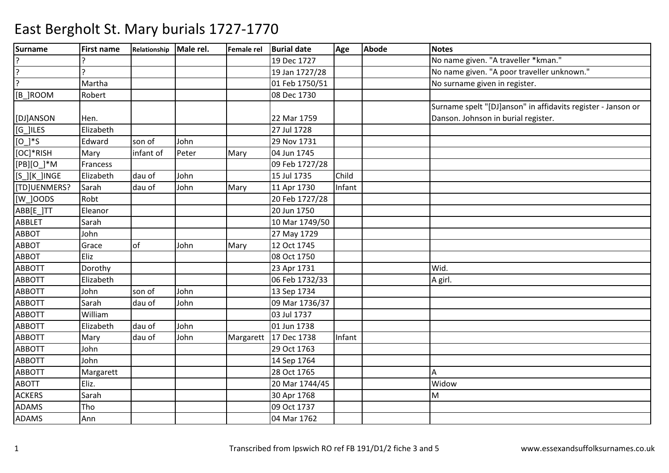| <b>Surname</b>        | <b>First name</b> | Relationship Male rel. |       | Female rel | <b>Burial date</b> | Age    | <b>Abode</b> | <b>Notes</b>                                                 |
|-----------------------|-------------------|------------------------|-------|------------|--------------------|--------|--------------|--------------------------------------------------------------|
|                       |                   |                        |       |            | 19 Dec 1727        |        |              | No name given. "A traveller *kman."                          |
| $\overline{?}$        |                   |                        |       |            | 19 Jan 1727/28     |        |              | No name given. "A poor traveller unknown."                   |
| $\overline{?}$        | Martha            |                        |       |            | 01 Feb 1750/51     |        |              | No surname given in register.                                |
| [B_]ROOM              | Robert            |                        |       |            | 08 Dec 1730        |        |              |                                                              |
|                       |                   |                        |       |            |                    |        |              | Surname spelt "[DJ]anson" in affidavits register - Janson or |
| [DJ]ANSON             | Hen.              |                        |       |            | 22 Mar 1759        |        |              | Danson. Johnson in burial register.                          |
| $\overline{[G]}$ ILES | Elizabeth         |                        |       |            | 27 Jul 1728        |        |              |                                                              |
| $[O_$ /*S             | Edward            | son of                 | John  |            | 29 Nov 1731        |        |              |                                                              |
| [OC]*RISH             | Mary              | infant of              | Peter | Mary       | 04 Jun 1745        |        |              |                                                              |
| $[PB][O_]+M$          | Francess          |                        |       |            | 09 Feb 1727/28     |        |              |                                                              |
| [S_][K_]INGE          | Elizabeth         | dau of                 | John  |            | 15 Jul 1735        | Child  |              |                                                              |
| [TD]UENMERS?          | Sarah             | dau of                 | John  | Mary       | 11 Apr 1730        | Infant |              |                                                              |
| [W_]OODS              | Robt              |                        |       |            | 20 Feb 1727/28     |        |              |                                                              |
| ABB[E_]TT             | Eleanor           |                        |       |            | 20 Jun 1750        |        |              |                                                              |
| <b>ABBLET</b>         | Sarah             |                        |       |            | 10 Mar 1749/50     |        |              |                                                              |
| <b>ABBOT</b>          | John              |                        |       |            | 27 May 1729        |        |              |                                                              |
| <b>ABBOT</b>          | Grace             | lof                    | John  | Mary       | 12 Oct 1745        |        |              |                                                              |
| ABBOT                 | Eliz              |                        |       |            | 08 Oct 1750        |        |              |                                                              |
| <b>ABBOTT</b>         | Dorothy           |                        |       |            | 23 Apr 1731        |        |              | Wid.                                                         |
| <b>ABBOTT</b>         | Elizabeth         |                        |       |            | 06 Feb 1732/33     |        |              | A girl.                                                      |
| <b>ABBOTT</b>         | John              | son of                 | John  |            | 13 Sep 1734        |        |              |                                                              |
| <b>ABBOTT</b>         | Sarah             | dau of                 | John  |            | 09 Mar 1736/37     |        |              |                                                              |
| <b>ABBOTT</b>         | William           |                        |       |            | 03 Jul 1737        |        |              |                                                              |
| <b>ABBOTT</b>         | Elizabeth         | dau of                 | John  |            | 01 Jun 1738        |        |              |                                                              |
| <b>ABBOTT</b>         | Mary              | dau of                 | John  | Margarett  | 17 Dec 1738        | Infant |              |                                                              |
| <b>ABBOTT</b>         | John              |                        |       |            | 29 Oct 1763        |        |              |                                                              |
| ABBOTT                | John              |                        |       |            | 14 Sep 1764        |        |              |                                                              |
| <b>ABBOTT</b>         | Margarett         |                        |       |            | 28 Oct 1765        |        |              | A                                                            |
| <b>ABOTT</b>          | Eliz.             |                        |       |            | 20 Mar 1744/45     |        |              | Widow                                                        |
| <b>ACKERS</b>         | Sarah             |                        |       |            | 30 Apr 1768        |        |              | M                                                            |
| ADAMS                 | Tho               |                        |       |            | 09 Oct 1737        |        |              |                                                              |
| <b>ADAMS</b>          | Ann               |                        |       |            | 04 Mar 1762        |        |              |                                                              |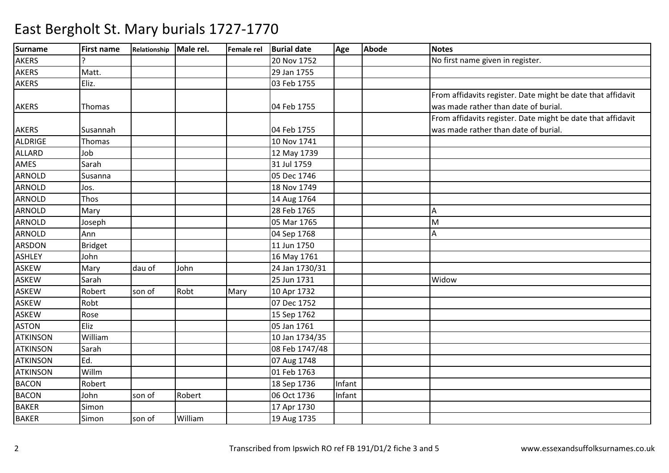| Surname         | <b>First name</b> | Relationship Male rel. |         |      | Female rel Burial date | Age    | <b>Abode</b> | <b>Notes</b>                                                |
|-----------------|-------------------|------------------------|---------|------|------------------------|--------|--------------|-------------------------------------------------------------|
| <b>AKERS</b>    |                   |                        |         |      | 20 Nov 1752            |        |              | No first name given in register.                            |
| <b>AKERS</b>    | Matt.             |                        |         |      | 29 Jan 1755            |        |              |                                                             |
| <b>AKERS</b>    | Eliz.             |                        |         |      | 03 Feb 1755            |        |              |                                                             |
|                 |                   |                        |         |      |                        |        |              | From affidavits register. Date might be date that affidavit |
| <b>AKERS</b>    | Thomas            |                        |         |      | 04 Feb 1755            |        |              | was made rather than date of burial.                        |
|                 |                   |                        |         |      |                        |        |              | From affidavits register. Date might be date that affidavit |
| <b>AKERS</b>    | Susannah          |                        |         |      | 04 Feb 1755            |        |              | was made rather than date of burial.                        |
| <b>ALDRIGE</b>  | Thomas            |                        |         |      | 10 Nov 1741            |        |              |                                                             |
| <b>ALLARD</b>   | Job               |                        |         |      | 12 May 1739            |        |              |                                                             |
| <b>AMES</b>     | Sarah             |                        |         |      | 31 Jul 1759            |        |              |                                                             |
| <b>ARNOLD</b>   | Susanna           |                        |         |      | 05 Dec 1746            |        |              |                                                             |
| <b>ARNOLD</b>   | Jos.              |                        |         |      | 18 Nov 1749            |        |              |                                                             |
| <b>ARNOLD</b>   | Thos              |                        |         |      | 14 Aug 1764            |        |              |                                                             |
| <b>ARNOLD</b>   | Mary              |                        |         |      | 28 Feb 1765            |        |              | A                                                           |
| <b>ARNOLD</b>   | Joseph            |                        |         |      | 05 Mar 1765            |        |              | M                                                           |
| <b>ARNOLD</b>   | Ann               |                        |         |      | 04 Sep 1768            |        |              | A                                                           |
| <b>ARSDON</b>   | <b>Bridget</b>    |                        |         |      | 11 Jun 1750            |        |              |                                                             |
| <b>ASHLEY</b>   | John              |                        |         |      | 16 May 1761            |        |              |                                                             |
| <b>ASKEW</b>    | Mary              | dau of                 | John    |      | 24 Jan 1730/31         |        |              |                                                             |
| <b>ASKEW</b>    | Sarah             |                        |         |      | 25 Jun 1731            |        |              | Widow                                                       |
| <b>ASKEW</b>    | Robert            | son of                 | Robt    | Mary | 10 Apr 1732            |        |              |                                                             |
| <b>ASKEW</b>    | Robt              |                        |         |      | 07 Dec 1752            |        |              |                                                             |
| <b>ASKEW</b>    | Rose              |                        |         |      | 15 Sep 1762            |        |              |                                                             |
| <b>ASTON</b>    | Eliz              |                        |         |      | 05 Jan 1761            |        |              |                                                             |
| <b>ATKINSON</b> | William           |                        |         |      | 10 Jan 1734/35         |        |              |                                                             |
| <b>ATKINSON</b> | Sarah             |                        |         |      | 08 Feb 1747/48         |        |              |                                                             |
| <b>ATKINSON</b> | Ed.               |                        |         |      | 07 Aug 1748            |        |              |                                                             |
| <b>ATKINSON</b> | Willm             |                        |         |      | 01 Feb 1763            |        |              |                                                             |
| <b>BACON</b>    | Robert            |                        |         |      | 18 Sep 1736            | Infant |              |                                                             |
| <b>BACON</b>    | John              | son of                 | Robert  |      | 06 Oct 1736            | Infant |              |                                                             |
| <b>BAKER</b>    | Simon             |                        |         |      | 17 Apr 1730            |        |              |                                                             |
| <b>BAKER</b>    | Simon             | son of                 | William |      | 19 Aug 1735            |        |              |                                                             |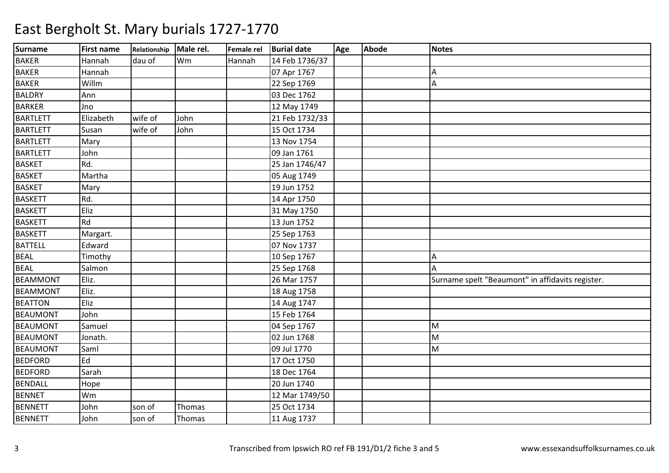| <b>Surname</b>  | <b>First name</b> | Relationship | Male rel. | Female rel | <b>Burial date</b> | Age | <b>Abode</b> | <b>Notes</b>                                     |
|-----------------|-------------------|--------------|-----------|------------|--------------------|-----|--------------|--------------------------------------------------|
| <b>BAKER</b>    | Hannah            | dau of       | Wm        | Hannah     | 14 Feb 1736/37     |     |              |                                                  |
| <b>BAKER</b>    | Hannah            |              |           |            | 07 Apr 1767        |     |              | А                                                |
| <b>BAKER</b>    | Willm             |              |           |            | 22 Sep 1769        |     |              | A                                                |
| <b>BALDRY</b>   | Ann               |              |           |            | 03 Dec 1762        |     |              |                                                  |
| <b>BARKER</b>   | Jno               |              |           |            | 12 May 1749        |     |              |                                                  |
| <b>BARTLETT</b> | Elizabeth         | wife of      | John      |            | 21 Feb 1732/33     |     |              |                                                  |
| <b>BARTLETT</b> | Susan             | wife of      | John      |            | 15 Oct 1734        |     |              |                                                  |
| <b>BARTLETT</b> | Mary              |              |           |            | 13 Nov 1754        |     |              |                                                  |
| <b>BARTLETT</b> | John              |              |           |            | 09 Jan 1761        |     |              |                                                  |
| <b>BASKET</b>   | Rd.               |              |           |            | 25 Jan 1746/47     |     |              |                                                  |
| <b>BASKET</b>   | Martha            |              |           |            | 05 Aug 1749        |     |              |                                                  |
| <b>BASKET</b>   | Mary              |              |           |            | 19 Jun 1752        |     |              |                                                  |
| <b>BASKETT</b>  | Rd.               |              |           |            | 14 Apr 1750        |     |              |                                                  |
| <b>BASKETT</b>  | Eliz              |              |           |            | 31 May 1750        |     |              |                                                  |
| <b>BASKETT</b>  | Rd                |              |           |            | 13 Jun 1752        |     |              |                                                  |
| <b>BASKETT</b>  | Margart.          |              |           |            | 25 Sep 1763        |     |              |                                                  |
| <b>BATTELL</b>  | Edward            |              |           |            | 07 Nov 1737        |     |              |                                                  |
| <b>BEAL</b>     | Timothy           |              |           |            | 10 Sep 1767        |     |              | А                                                |
| <b>BEAL</b>     | Salmon            |              |           |            | 25 Sep 1768        |     |              | Α                                                |
| <b>BEAMMONT</b> | Eliz.             |              |           |            | 26 Mar 1757        |     |              | Surname spelt "Beaumont" in affidavits register. |
| <b>BEAMMONT</b> | Eliz.             |              |           |            | 18 Aug 1758        |     |              |                                                  |
| <b>BEATTON</b>  | Eliz              |              |           |            | 14 Aug 1747        |     |              |                                                  |
| <b>BEAUMONT</b> | John              |              |           |            | 15 Feb 1764        |     |              |                                                  |
| <b>BEAUMONT</b> | Samuel            |              |           |            | 04 Sep 1767        |     |              | M                                                |
| <b>BEAUMONT</b> | Jonath.           |              |           |            | 02 Jun 1768        |     |              | M                                                |
| <b>BEAUMONT</b> | Saml              |              |           |            | 09 Jul 1770        |     |              | M                                                |
| <b>BEDFORD</b>  | Ed                |              |           |            | 17 Oct 1750        |     |              |                                                  |
| <b>BEDFORD</b>  | Sarah             |              |           |            | 18 Dec 1764        |     |              |                                                  |
| <b>BENDALL</b>  | Hope              |              |           |            | 20 Jun 1740        |     |              |                                                  |
| <b>BENNET</b>   | Wm                |              |           |            | 12 Mar 1749/50     |     |              |                                                  |
| <b>BENNETT</b>  | John              | son of       | Thomas    |            | 25 Oct 1734        |     |              |                                                  |
| <b>BENNETT</b>  | John              | son of       | Thomas    |            | 11 Aug 1737        |     |              |                                                  |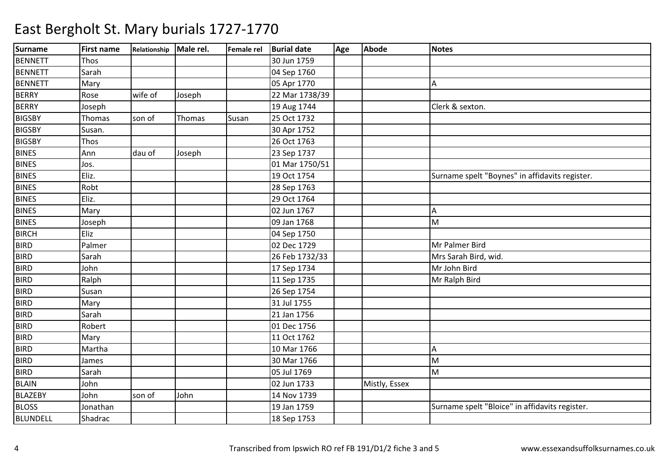| <b>Surname</b>  | <b>First name</b> | Relationship Male rel. |        | Female rel | <b>Burial date</b> | Age | Abode         | <b>Notes</b>                                   |
|-----------------|-------------------|------------------------|--------|------------|--------------------|-----|---------------|------------------------------------------------|
| <b>BENNETT</b>  | Thos              |                        |        |            | 30 Jun 1759        |     |               |                                                |
| <b>BENNETT</b>  | Sarah             |                        |        |            | 04 Sep 1760        |     |               |                                                |
| <b>BENNETT</b>  | Mary              |                        |        |            | 05 Apr 1770        |     |               | A                                              |
| <b>BERRY</b>    | Rose              | wife of                | Joseph |            | 22 Mar 1738/39     |     |               |                                                |
| <b>BERRY</b>    | Joseph            |                        |        |            | 19 Aug 1744        |     |               | Clerk & sexton.                                |
| <b>BIGSBY</b>   | Thomas            | son of                 | Thomas | Susan      | 25 Oct 1732        |     |               |                                                |
| <b>BIGSBY</b>   | Susan.            |                        |        |            | 30 Apr 1752        |     |               |                                                |
| <b>BIGSBY</b>   | Thos              |                        |        |            | 26 Oct 1763        |     |               |                                                |
| <b>BINES</b>    | Ann               | dau of                 | Joseph |            | 23 Sep 1737        |     |               |                                                |
| <b>BINES</b>    | Jos.              |                        |        |            | 01 Mar 1750/51     |     |               |                                                |
| <b>BINES</b>    | Eliz.             |                        |        |            | 19 Oct 1754        |     |               | Surname spelt "Boynes" in affidavits register. |
| <b>BINES</b>    | Robt              |                        |        |            | 28 Sep 1763        |     |               |                                                |
| <b>BINES</b>    | Eliz.             |                        |        |            | 29 Oct 1764        |     |               |                                                |
| <b>BINES</b>    | Mary              |                        |        |            | 02 Jun 1767        |     |               | A                                              |
| <b>BINES</b>    | Joseph            |                        |        |            | 09 Jan 1768        |     |               | M                                              |
| <b>BIRCH</b>    | Eliz              |                        |        |            | 04 Sep 1750        |     |               |                                                |
| <b>BIRD</b>     | Palmer            |                        |        |            | 02 Dec 1729        |     |               | Mr Palmer Bird                                 |
| <b>BIRD</b>     | Sarah             |                        |        |            | 26 Feb 1732/33     |     |               | Mrs Sarah Bird, wid.                           |
| <b>BIRD</b>     | John              |                        |        |            | 17 Sep 1734        |     |               | Mr John Bird                                   |
| <b>BIRD</b>     | Ralph             |                        |        |            | 11 Sep 1735        |     |               | Mr Ralph Bird                                  |
| <b>BIRD</b>     | Susan             |                        |        |            | 26 Sep 1754        |     |               |                                                |
| <b>BIRD</b>     | Mary              |                        |        |            | 31 Jul 1755        |     |               |                                                |
| <b>BIRD</b>     | Sarah             |                        |        |            | 21 Jan 1756        |     |               |                                                |
| <b>BIRD</b>     | Robert            |                        |        |            | 01 Dec 1756        |     |               |                                                |
| <b>BIRD</b>     | Mary              |                        |        |            | 11 Oct 1762        |     |               |                                                |
| <b>BIRD</b>     | Martha            |                        |        |            | 10 Mar 1766        |     |               | A                                              |
| <b>BIRD</b>     | James             |                        |        |            | 30 Mar 1766        |     |               | M                                              |
| <b>BIRD</b>     | Sarah             |                        |        |            | 05 Jul 1769        |     |               | M                                              |
| <b>BLAIN</b>    | John              |                        |        |            | 02 Jun 1733        |     | Mistly, Essex |                                                |
| <b>BLAZEBY</b>  | John              | son of                 | John   |            | 14 Nov 1739        |     |               |                                                |
| <b>BLOSS</b>    | Jonathan          |                        |        |            | 19 Jan 1759        |     |               | Surname spelt "Bloice" in affidavits register. |
| <b>BLUNDELL</b> | Shadrac           |                        |        |            | 18 Sep 1753        |     |               |                                                |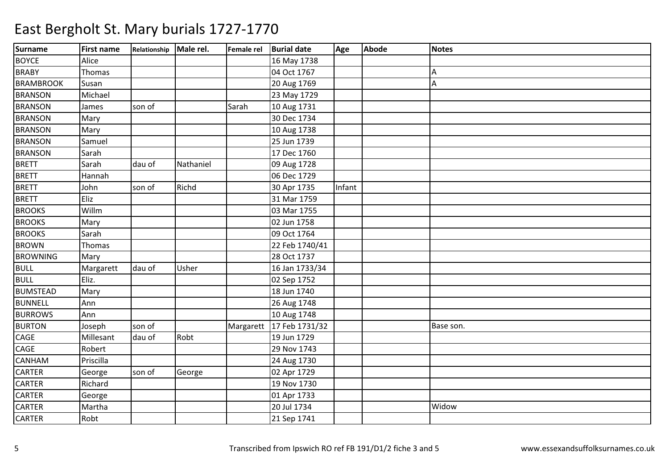| <b>Surname</b>   | <b>First name</b> | Relationship Male rel. |           | Female rel | <b>Burial date</b> | Age    | Abode | Notes     |
|------------------|-------------------|------------------------|-----------|------------|--------------------|--------|-------|-----------|
| <b>BOYCE</b>     | Alice             |                        |           |            | 16 May 1738        |        |       |           |
| <b>BRABY</b>     | Thomas            |                        |           |            | 04 Oct 1767        |        |       | A         |
| <b>BRAMBROOK</b> | Susan             |                        |           |            | 20 Aug 1769        |        |       | A         |
| <b>BRANSON</b>   | Michael           |                        |           |            | 23 May 1729        |        |       |           |
| <b>BRANSON</b>   | James             | son of                 |           | Sarah      | 10 Aug 1731        |        |       |           |
| <b>BRANSON</b>   | Mary              |                        |           |            | 30 Dec 1734        |        |       |           |
| <b>BRANSON</b>   | Mary              |                        |           |            | 10 Aug 1738        |        |       |           |
| <b>BRANSON</b>   | Samuel            |                        |           |            | 25 Jun 1739        |        |       |           |
| <b>BRANSON</b>   | Sarah             |                        |           |            | 17 Dec 1760        |        |       |           |
| <b>BRETT</b>     | Sarah             | dau of                 | Nathaniel |            | 09 Aug 1728        |        |       |           |
| <b>BRETT</b>     | Hannah            |                        |           |            | 06 Dec 1729        |        |       |           |
| <b>BRETT</b>     | John              | son of                 | Richd     |            | 30 Apr 1735        | Infant |       |           |
| <b>BRETT</b>     | Eliz              |                        |           |            | 31 Mar 1759        |        |       |           |
| <b>BROOKS</b>    | Willm             |                        |           |            | 03 Mar 1755        |        |       |           |
| <b>BROOKS</b>    | Mary              |                        |           |            | 02 Jun 1758        |        |       |           |
| <b>BROOKS</b>    | Sarah             |                        |           |            | 09 Oct 1764        |        |       |           |
| <b>BROWN</b>     | Thomas            |                        |           |            | 22 Feb 1740/41     |        |       |           |
| <b>BROWNING</b>  | Mary              |                        |           |            | 28 Oct 1737        |        |       |           |
| <b>BULL</b>      | Margarett         | dau of                 | Usher     |            | 16 Jan 1733/34     |        |       |           |
| <b>BULL</b>      | Eliz.             |                        |           |            | 02 Sep 1752        |        |       |           |
| <b>BUMSTEAD</b>  | Mary              |                        |           |            | 18 Jun 1740        |        |       |           |
| <b>BUNNELL</b>   | Ann               |                        |           |            | 26 Aug 1748        |        |       |           |
| <b>BURROWS</b>   | Ann               |                        |           |            | 10 Aug 1748        |        |       |           |
| <b>BURTON</b>    | Joseph            | son of                 |           | Margarett  | 17 Feb 1731/32     |        |       | Base son. |
| CAGE             | Millesant         | dau of                 | Robt      |            | 19 Jun 1729        |        |       |           |
| CAGE             | Robert            |                        |           |            | 29 Nov 1743        |        |       |           |
| CANHAM           | Priscilla         |                        |           |            | 24 Aug 1730        |        |       |           |
| <b>CARTER</b>    | George            | son of                 | George    |            | 02 Apr 1729        |        |       |           |
| <b>CARTER</b>    | Richard           |                        |           |            | 19 Nov 1730        |        |       |           |
| CARTER           | George            |                        |           |            | 01 Apr 1733        |        |       |           |
| <b>CARTER</b>    | Martha            |                        |           |            | 20 Jul 1734        |        |       | Widow     |
| CARTER           | Robt              |                        |           |            | 21 Sep 1741        |        |       |           |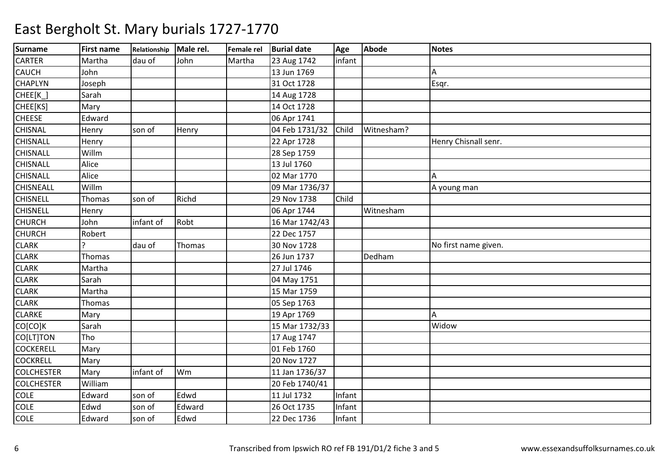| <b>Surname</b>    | <b>First name</b> | Relationship Male rel. |        | Female rel | <b>Burial date</b> | Age    | Abode      | <b>Notes</b>         |
|-------------------|-------------------|------------------------|--------|------------|--------------------|--------|------------|----------------------|
| <b>CARTER</b>     | Martha            | dau of                 | John   | Martha     | 23 Aug 1742        | infant |            |                      |
| <b>CAUCH</b>      | John              |                        |        |            | 13 Jun 1769        |        |            | A                    |
| <b>CHAPLYN</b>    | Joseph            |                        |        |            | 31 Oct 1728        |        |            | Esqr.                |
| CHEE[K_]          | Sarah             |                        |        |            | 14 Aug 1728        |        |            |                      |
| CHEE[KS]          | Mary              |                        |        |            | 14 Oct 1728        |        |            |                      |
| <b>CHEESE</b>     | Edward            |                        |        |            | 06 Apr 1741        |        |            |                      |
| <b>CHISNAL</b>    | Henry             | son of                 | Henry  |            | 04 Feb 1731/32     | Child  | Witnesham? |                      |
| <b>CHISNALL</b>   | Henry             |                        |        |            | 22 Apr 1728        |        |            | Henry Chisnall senr. |
| <b>CHISNALL</b>   | Willm             |                        |        |            | 28 Sep 1759        |        |            |                      |
| <b>CHISNALL</b>   | Alice             |                        |        |            | 13 Jul 1760        |        |            |                      |
| <b>CHISNALL</b>   | Alice             |                        |        |            | 02 Mar 1770        |        |            | A                    |
| <b>CHISNEALL</b>  | Willm             |                        |        |            | 09 Mar 1736/37     |        |            | A young man          |
| <b>CHISNELL</b>   | Thomas            | son of                 | Richd  |            | 29 Nov 1738        | Child  |            |                      |
| <b>CHISNELL</b>   | Henry             |                        |        |            | 06 Apr 1744        |        | Witnesham  |                      |
| <b>CHURCH</b>     | John              | infant of              | Robt   |            | 16 Mar 1742/43     |        |            |                      |
| <b>CHURCH</b>     | Robert            |                        |        |            | 22 Dec 1757        |        |            |                      |
| <b>CLARK</b>      |                   | dau of                 | Thomas |            | 30 Nov 1728        |        |            | No first name given. |
| <b>CLARK</b>      | Thomas            |                        |        |            | 26 Jun 1737        |        | Dedham     |                      |
| <b>CLARK</b>      | Martha            |                        |        |            | 27 Jul 1746        |        |            |                      |
| <b>CLARK</b>      | Sarah             |                        |        |            | 04 May 1751        |        |            |                      |
| <b>CLARK</b>      | Martha            |                        |        |            | 15 Mar 1759        |        |            |                      |
| <b>CLARK</b>      | Thomas            |                        |        |            | 05 Sep 1763        |        |            |                      |
| <b>CLARKE</b>     | Mary              |                        |        |            | 19 Apr 1769        |        |            | Α                    |
| CO[CO]K           | Sarah             |                        |        |            | 15 Mar 1732/33     |        |            | Widow                |
| CO[LT]TON         | Tho               |                        |        |            | 17 Aug 1747        |        |            |                      |
| <b>COCKERELL</b>  | Mary              |                        |        |            | 01 Feb 1760        |        |            |                      |
| <b>COCKRELL</b>   | Mary              |                        |        |            | 20 Nov 1727        |        |            |                      |
| <b>COLCHESTER</b> | Mary              | infant of              | Wm     |            | 11 Jan 1736/37     |        |            |                      |
| <b>COLCHESTER</b> | William           |                        |        |            | 20 Feb 1740/41     |        |            |                      |
| COLE              | Edward            | son of                 | Edwd   |            | 11 Jul 1732        | Infant |            |                      |
| <b>COLE</b>       | Edwd              | son of                 | Edward |            | 26 Oct 1735        | Infant |            |                      |
| <b>COLE</b>       | Edward            | son of                 | Edwd   |            | 22 Dec 1736        | Infant |            |                      |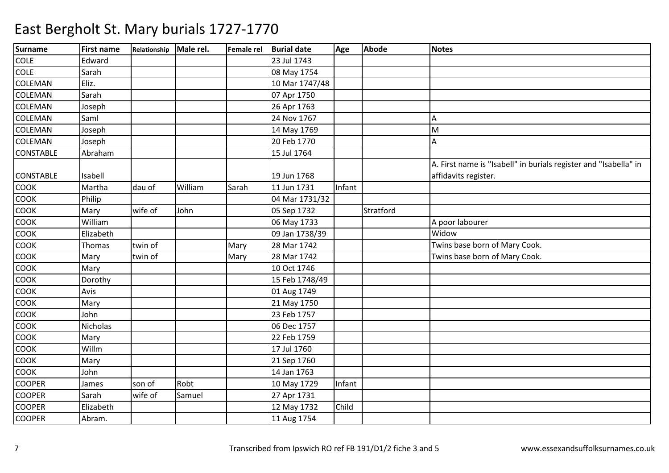| <b>Surname</b>   | <b>First name</b> | Relationship Male rel. |         |       | Female rel Burial date | Age    | <b>Abode</b> | <b>Notes</b>                                                     |
|------------------|-------------------|------------------------|---------|-------|------------------------|--------|--------------|------------------------------------------------------------------|
| <b>COLE</b>      | Edward            |                        |         |       | 23 Jul 1743            |        |              |                                                                  |
| <b>COLE</b>      | Sarah             |                        |         |       | 08 May 1754            |        |              |                                                                  |
| <b>COLEMAN</b>   | Eliz.             |                        |         |       | 10 Mar 1747/48         |        |              |                                                                  |
| COLEMAN          | Sarah             |                        |         |       | 07 Apr 1750            |        |              |                                                                  |
| <b>COLEMAN</b>   | Joseph            |                        |         |       | 26 Apr 1763            |        |              |                                                                  |
| <b>COLEMAN</b>   | Saml              |                        |         |       | 24 Nov 1767            |        |              | А                                                                |
| <b>COLEMAN</b>   | Joseph            |                        |         |       | 14 May 1769            |        |              | M                                                                |
| <b>COLEMAN</b>   | Joseph            |                        |         |       | 20 Feb 1770            |        |              | Α                                                                |
| <b>CONSTABLE</b> | Abraham           |                        |         |       | 15 Jul 1764            |        |              |                                                                  |
|                  |                   |                        |         |       |                        |        |              | A. First name is "Isabell" in burials register and "Isabella" in |
| <b>CONSTABLE</b> | Isabell           |                        |         |       | 19 Jun 1768            |        |              | affidavits register.                                             |
| COOK             | Martha            | dau of                 | William | Sarah | 11 Jun 1731            | Infant |              |                                                                  |
| <b>COOK</b>      | Philip            |                        |         |       | 04 Mar 1731/32         |        |              |                                                                  |
| <b>COOK</b>      | Mary              | wife of                | John    |       | 05 Sep 1732            |        | Stratford    |                                                                  |
| <b>COOK</b>      | William           |                        |         |       | 06 May 1733            |        |              | A poor labourer                                                  |
| COOK             | Elizabeth         |                        |         |       | 09 Jan 1738/39         |        |              | Widow                                                            |
| COOK             | Thomas            | twin of                |         | Mary  | 28 Mar 1742            |        |              | Twins base born of Mary Cook.                                    |
| <b>COOK</b>      | Mary              | twin of                |         | Mary  | 28 Mar 1742            |        |              | Twins base born of Mary Cook.                                    |
| <b>COOK</b>      | Mary              |                        |         |       | 10 Oct 1746            |        |              |                                                                  |
| <b>COOK</b>      | Dorothy           |                        |         |       | 15 Feb 1748/49         |        |              |                                                                  |
| <b>COOK</b>      | Avis              |                        |         |       | 01 Aug 1749            |        |              |                                                                  |
| COOK             | Mary              |                        |         |       | 21 May 1750            |        |              |                                                                  |
| <b>COOK</b>      | John              |                        |         |       | 23 Feb 1757            |        |              |                                                                  |
| <b>COOK</b>      | <b>Nicholas</b>   |                        |         |       | 06 Dec 1757            |        |              |                                                                  |
| <b>COOK</b>      | Mary              |                        |         |       | 22 Feb 1759            |        |              |                                                                  |
| <b>COOK</b>      | Willm             |                        |         |       | 17 Jul 1760            |        |              |                                                                  |
| COOK             | Mary              |                        |         |       | 21 Sep 1760            |        |              |                                                                  |
| <b>COOK</b>      | John              |                        |         |       | 14 Jan 1763            |        |              |                                                                  |
| <b>COOPER</b>    | James             | son of                 | Robt    |       | 10 May 1729            | Infant |              |                                                                  |
| <b>COOPER</b>    | Sarah             | wife of                | Samuel  |       | 27 Apr 1731            |        |              |                                                                  |
| <b>COOPER</b>    | Elizabeth         |                        |         |       | 12 May 1732            | Child  |              |                                                                  |
| <b>COOPER</b>    | Abram.            |                        |         |       | 11 Aug 1754            |        |              |                                                                  |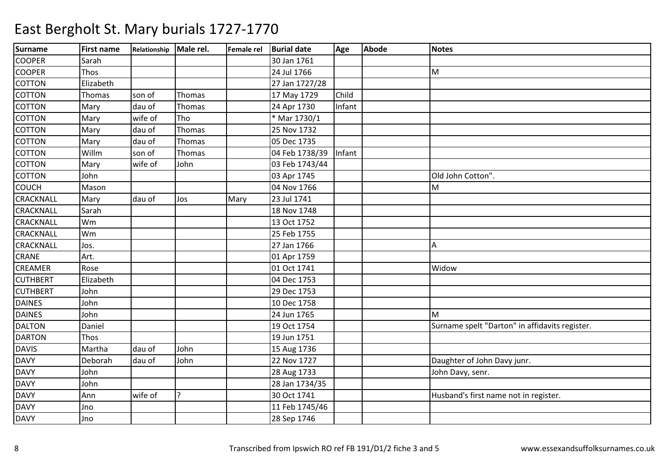| <b>Surname</b>   | <b>First name</b> | Relationship | Male rel.     | Female rel | <b>Burial date</b> | Age    | Abode | <b>Notes</b>                                   |
|------------------|-------------------|--------------|---------------|------------|--------------------|--------|-------|------------------------------------------------|
| <b>COOPER</b>    | Sarah             |              |               |            | 30 Jan 1761        |        |       |                                                |
| <b>COOPER</b>    | Thos              |              |               |            | 24 Jul 1766        |        |       | M                                              |
| <b>COTTON</b>    | Elizabeth         |              |               |            | 27 Jan 1727/28     |        |       |                                                |
| COTTON           | Thomas            | son of       | Thomas        |            | 17 May 1729        | Child  |       |                                                |
| <b>COTTON</b>    | Mary              | dau of       | Thomas        |            | 24 Apr 1730        | Infant |       |                                                |
| <b>COTTON</b>    | Mary              | wife of      | Tho           |            | * Mar 1730/1       |        |       |                                                |
| <b>COTTON</b>    | Mary              | dau of       | Thomas        |            | 25 Nov 1732        |        |       |                                                |
| <b>COTTON</b>    | Mary              | dau of       | Thomas        |            | 05 Dec 1735        |        |       |                                                |
| <b>COTTON</b>    | Willm             | son of       | Thomas        |            | 04 Feb 1738/39     | Infant |       |                                                |
| <b>COTTON</b>    | Mary              | wife of      | John          |            | 03 Feb 1743/44     |        |       |                                                |
| <b>COTTON</b>    | John              |              |               |            | 03 Apr 1745        |        |       | Old John Cotton".                              |
| COUCH            | Mason             |              |               |            | 04 Nov 1766        |        |       | M                                              |
| CRACKNALL        | Mary              | dau of       | Jos           | Mary       | 23 Jul 1741        |        |       |                                                |
| <b>CRACKNALL</b> | Sarah             |              |               |            | 18 Nov 1748        |        |       |                                                |
| CRACKNALL        | Wm                |              |               |            | 13 Oct 1752        |        |       |                                                |
| CRACKNALL        | Wm                |              |               |            | 25 Feb 1755        |        |       |                                                |
| CRACKNALL        | Jos.              |              |               |            | 27 Jan 1766        |        |       | A                                              |
| CRANE            | Art.              |              |               |            | 01 Apr 1759        |        |       |                                                |
| <b>CREAMER</b>   | Rose              |              |               |            | 01 Oct 1741        |        |       | Widow                                          |
| <b>CUTHBERT</b>  | Elizabeth         |              |               |            | 04 Dec 1753        |        |       |                                                |
| <b>CUTHBERT</b>  | John              |              |               |            | 29 Dec 1753        |        |       |                                                |
| <b>DAINES</b>    | John              |              |               |            | 10 Dec 1758        |        |       |                                                |
| <b>DAINES</b>    | John              |              |               |            | 24 Jun 1765        |        |       | M                                              |
| <b>DALTON</b>    | Daniel            |              |               |            | 19 Oct 1754        |        |       | Surname spelt "Darton" in affidavits register. |
| <b>DARTON</b>    | Thos              |              |               |            | 19 Jun 1751        |        |       |                                                |
| <b>DAVIS</b>     | Martha            | dau of       | John          |            | 15 Aug 1736        |        |       |                                                |
| <b>DAVY</b>      | Deborah           | dau of       | John          |            | 22 Nov 1727        |        |       | Daughter of John Davy junr.                    |
| <b>DAVY</b>      | John              |              |               |            | 28 Aug 1733        |        |       | John Davy, senr.                               |
| <b>DAVY</b>      | John              |              |               |            | 28 Jan 1734/35     |        |       |                                                |
| <b>DAVY</b>      | Ann               | wife of      | $\mathcal{P}$ |            | 30 Oct 1741        |        |       | Husband's first name not in register.          |
| <b>DAVY</b>      | Jno               |              |               |            | 11 Feb 1745/46     |        |       |                                                |
| <b>DAVY</b>      | Jno               |              |               |            | 28 Sep 1746        |        |       |                                                |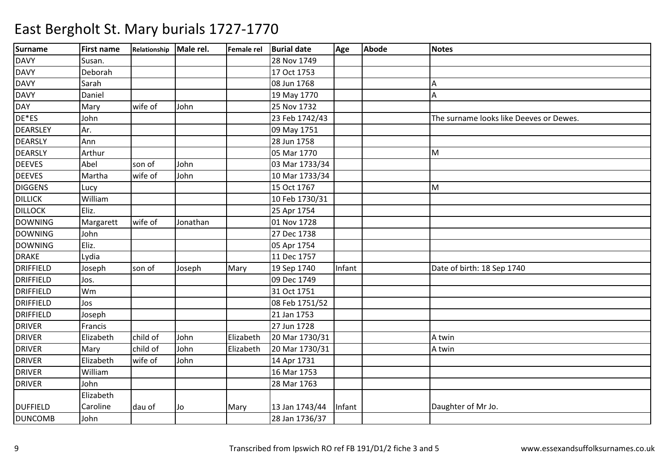| <b>Surname</b>   | <b>First name</b> | Relationship | Male rel. | Female rel | <b>Burial date</b> | Age    | <b>Abode</b> | <b>Notes</b>                            |
|------------------|-------------------|--------------|-----------|------------|--------------------|--------|--------------|-----------------------------------------|
| <b>DAVY</b>      | Susan.            |              |           |            | 28 Nov 1749        |        |              |                                         |
| <b>DAVY</b>      | Deborah           |              |           |            | 17 Oct 1753        |        |              |                                         |
| <b>DAVY</b>      | Sarah             |              |           |            | 08 Jun 1768        |        |              | А                                       |
| <b>DAVY</b>      | Daniel            |              |           |            | 19 May 1770        |        |              | A                                       |
| <b>DAY</b>       | Mary              | wife of      | John      |            | 25 Nov 1732        |        |              |                                         |
| DE*ES            | John              |              |           |            | 23 Feb 1742/43     |        |              | The surname looks like Deeves or Dewes. |
| <b>DEARSLEY</b>  | Ar.               |              |           |            | 09 May 1751        |        |              |                                         |
| <b>DEARSLY</b>   | Ann               |              |           |            | 28 Jun 1758        |        |              |                                         |
| <b>DEARSLY</b>   | Arthur            |              |           |            | 05 Mar 1770        |        |              | M                                       |
| <b>DEEVES</b>    | Abel              | son of       | John      |            | 03 Mar 1733/34     |        |              |                                         |
| <b>DEEVES</b>    | Martha            | wife of      | John      |            | 10 Mar 1733/34     |        |              |                                         |
| <b>DIGGENS</b>   | Lucy              |              |           |            | 15 Oct 1767        |        |              | M                                       |
| <b>DILLICK</b>   | William           |              |           |            | 10 Feb 1730/31     |        |              |                                         |
| <b>DILLOCK</b>   | Eliz.             |              |           |            | 25 Apr 1754        |        |              |                                         |
| <b>DOWNING</b>   | Margarett         | wife of      | Jonathan  |            | 01 Nov 1728        |        |              |                                         |
| <b>DOWNING</b>   | John              |              |           |            | 27 Dec 1738        |        |              |                                         |
| <b>DOWNING</b>   | Eliz.             |              |           |            | 05 Apr 1754        |        |              |                                         |
| <b>DRAKE</b>     | Lydia             |              |           |            | 11 Dec 1757        |        |              |                                         |
| <b>DRIFFIELD</b> | Joseph            | son of       | Joseph    | Mary       | 19 Sep 1740        | Infant |              | Date of birth: 18 Sep 1740              |
| <b>DRIFFIELD</b> | Jos.              |              |           |            | 09 Dec 1749        |        |              |                                         |
| <b>DRIFFIELD</b> | Wm                |              |           |            | 31 Oct 1751        |        |              |                                         |
| <b>DRIFFIELD</b> | Jos               |              |           |            | 08 Feb 1751/52     |        |              |                                         |
| <b>DRIFFIELD</b> | Joseph            |              |           |            | 21 Jan 1753        |        |              |                                         |
| <b>DRIVER</b>    | Francis           |              |           |            | 27 Jun 1728        |        |              |                                         |
| <b>DRIVER</b>    | Elizabeth         | child of     | John      | Elizabeth  | 20 Mar 1730/31     |        |              | A twin                                  |
| <b>DRIVER</b>    | Mary              | child of     | John      | Elizabeth  | 20 Mar 1730/31     |        |              | A twin                                  |
| <b>DRIVER</b>    | Elizabeth         | wife of      | John      |            | 14 Apr 1731        |        |              |                                         |
| <b>DRIVER</b>    | William           |              |           |            | 16 Mar 1753        |        |              |                                         |
| <b>DRIVER</b>    | John              |              |           |            | 28 Mar 1763        |        |              |                                         |
|                  | Elizabeth         |              |           |            |                    |        |              |                                         |
| <b>DUFFIELD</b>  | Caroline          | dau of       | Jo        | Mary       | 13 Jan 1743/44     | Infant |              | Daughter of Mr Jo.                      |
| <b>DUNCOMB</b>   | John              |              |           |            | 28 Jan 1736/37     |        |              |                                         |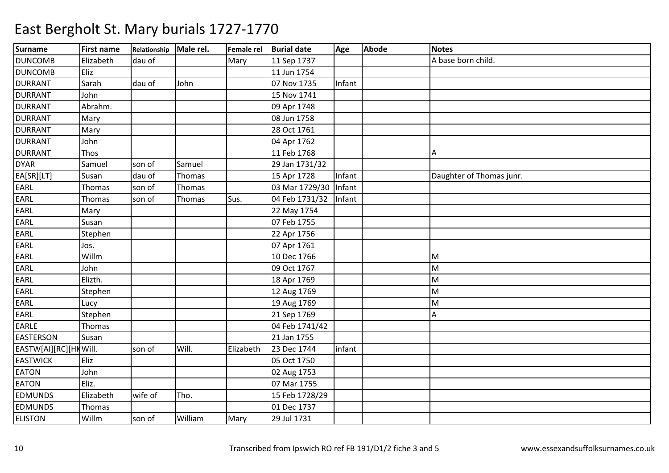| <b>Surname</b>        | <b>First name</b> | Relationship Male rel. |         |           | Female rel Burial date | Age    | Abode | <b>Notes</b>             |
|-----------------------|-------------------|------------------------|---------|-----------|------------------------|--------|-------|--------------------------|
| <b>DUNCOMB</b>        | Elizabeth         | dau of                 |         | Mary      | 11 Sep 1737            |        |       | A base born child.       |
| <b>DUNCOMB</b>        | Eliz              |                        |         |           | 11 Jun 1754            |        |       |                          |
| <b>DURRANT</b>        | Sarah             | dau of                 | John    |           | 07 Nov 1735            | Infant |       |                          |
| <b>DURRANT</b>        | John              |                        |         |           | 15 Nov 1741            |        |       |                          |
| <b>DURRANT</b>        | Abrahm.           |                        |         |           | 09 Apr 1748            |        |       |                          |
| <b>DURRANT</b>        | Mary              |                        |         |           | 08 Jun 1758            |        |       |                          |
| <b>DURRANT</b>        | Mary              |                        |         |           | 28 Oct 1761            |        |       |                          |
| <b>DURRANT</b>        | John              |                        |         |           | 04 Apr 1762            |        |       |                          |
| <b>DURRANT</b>        | Thos              |                        |         |           | 11 Feb 1768            |        |       | A                        |
| <b>DYAR</b>           | Samuel            | son of                 | Samuel  |           | 29 Jan 1731/32         |        |       |                          |
| EA[SR][LT]            | Susan             | dau of                 | Thomas  |           | 15 Apr 1728            | Infant |       | Daughter of Thomas junr. |
| EARL                  | Thomas            | son of                 | Thomas  |           | 03 Mar 1729/30         | Infant |       |                          |
| EARL                  | Thomas            | son of                 | Thomas  | Sus.      | 04 Feb 1731/32         | Infant |       |                          |
| EARL                  | Mary              |                        |         |           | 22 May 1754            |        |       |                          |
| EARL                  | Susan             |                        |         |           | 07 Feb 1755            |        |       |                          |
| EARL                  | Stephen           |                        |         |           | 22 Apr 1756            |        |       |                          |
| EARL                  | Jos.              |                        |         |           | 07 Apr 1761            |        |       |                          |
| EARL                  | Willm             |                        |         |           | 10 Dec 1766            |        |       | M                        |
| EARL                  | John              |                        |         |           | 09 Oct 1767            |        |       | M                        |
| EARL                  | Elizth.           |                        |         |           | 18 Apr 1769            |        |       | M                        |
| EARL                  | Stephen           |                        |         |           | 12 Aug 1769            |        |       | M                        |
| <b>EARL</b>           | Lucy              |                        |         |           | 19 Aug 1769            |        |       | M                        |
| EARL                  | Stephen           |                        |         |           | 21 Sep 1769            |        |       | Α                        |
| EARLE                 | Thomas            |                        |         |           | 04 Feb 1741/42         |        |       |                          |
| <b>EASTERSON</b>      | Susan             |                        |         |           | 21 Jan 1755            |        |       |                          |
| EASTW[AI][RC][HKWill. |                   | son of                 | Will.   | Elizabeth | 23 Dec 1744            | infant |       |                          |
| <b>EASTWICK</b>       | Eliz              |                        |         |           | 05 Oct 1750            |        |       |                          |
| <b>EATON</b>          | John              |                        |         |           | 02 Aug 1753            |        |       |                          |
| <b>EATON</b>          | Eliz.             |                        |         |           | 07 Mar 1755            |        |       |                          |
| <b>EDMUNDS</b>        | Elizabeth         | wife of                | Tho.    |           | 15 Feb 1728/29         |        |       |                          |
| <b>EDMUNDS</b>        | Thomas            |                        |         |           | 01 Dec 1737            |        |       |                          |
| <b>ELISTON</b>        | Willm             | son of                 | William | Mary      | 29 Jul 1731            |        |       |                          |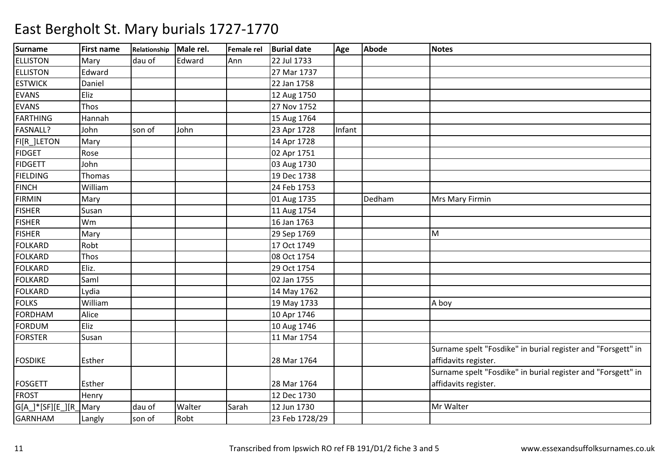| <b>Surname</b>    | <b>First name</b> | Relationship Male rel. |        |       | Female rel Burial date | Age    | <b>Abode</b> | <b>Notes</b>                                                                         |
|-------------------|-------------------|------------------------|--------|-------|------------------------|--------|--------------|--------------------------------------------------------------------------------------|
| <b>ELLISTON</b>   | Mary              | dau of                 | Edward | Ann   | 22 Jul 1733            |        |              |                                                                                      |
| <b>ELLISTON</b>   | Edward            |                        |        |       | 27 Mar 1737            |        |              |                                                                                      |
| <b>ESTWICK</b>    | Daniel            |                        |        |       | 22 Jan 1758            |        |              |                                                                                      |
| <b>EVANS</b>      | Eliz              |                        |        |       | 12 Aug 1750            |        |              |                                                                                      |
| <b>EVANS</b>      | Thos              |                        |        |       | 27 Nov 1752            |        |              |                                                                                      |
| FARTHING          | Hannah            |                        |        |       | 15 Aug 1764            |        |              |                                                                                      |
| FASNALL?          | John              | son of                 | John   |       | 23 Apr 1728            | Infant |              |                                                                                      |
| FI[R_]LETON       | Mary              |                        |        |       | 14 Apr 1728            |        |              |                                                                                      |
| <b>FIDGET</b>     | Rose              |                        |        |       | 02 Apr 1751            |        |              |                                                                                      |
| <b>FIDGETT</b>    | John              |                        |        |       | 03 Aug 1730            |        |              |                                                                                      |
| <b>FIELDING</b>   | Thomas            |                        |        |       | 19 Dec 1738            |        |              |                                                                                      |
| <b>FINCH</b>      | William           |                        |        |       | 24 Feb 1753            |        |              |                                                                                      |
| <b>FIRMIN</b>     | Mary              |                        |        |       | 01 Aug 1735            |        | Dedham       | Mrs Mary Firmin                                                                      |
| <b>FISHER</b>     | Susan             |                        |        |       | 11 Aug 1754            |        |              |                                                                                      |
| <b>FISHER</b>     | Wm                |                        |        |       | 16 Jan 1763            |        |              |                                                                                      |
| <b>FISHER</b>     | Mary              |                        |        |       | 29 Sep 1769            |        |              | M                                                                                    |
| <b>FOLKARD</b>    | Robt              |                        |        |       | 17 Oct 1749            |        |              |                                                                                      |
| <b>FOLKARD</b>    | Thos              |                        |        |       | 08 Oct 1754            |        |              |                                                                                      |
| <b>FOLKARD</b>    | Eliz.             |                        |        |       | 29 Oct 1754            |        |              |                                                                                      |
| <b>FOLKARD</b>    | Saml              |                        |        |       | 02 Jan 1755            |        |              |                                                                                      |
| FOLKARD           | Lydia             |                        |        |       | 14 May 1762            |        |              |                                                                                      |
| <b>FOLKS</b>      | William           |                        |        |       | 19 May 1733            |        |              | A boy                                                                                |
| <b>FORDHAM</b>    | Alice             |                        |        |       | 10 Apr 1746            |        |              |                                                                                      |
| <b>FORDUM</b>     | Eliz              |                        |        |       | 10 Aug 1746            |        |              |                                                                                      |
| <b>FORSTER</b>    | Susan             |                        |        |       | 11 Mar 1754            |        |              |                                                                                      |
| <b>FOSDIKE</b>    | Esther            |                        |        |       | 28 Mar 1764            |        |              | Surname spelt "Fosdike" in burial register and "Forsgett" in<br>affidavits register. |
| <b>FOSGETT</b>    | Esther            |                        |        |       | 28 Mar 1764            |        |              | Surname spelt "Fosdike" in burial register and "Forsgett" in<br>affidavits register. |
| <b>FROST</b>      | Henry             |                        |        |       | 12 Dec 1730            |        |              |                                                                                      |
| G[A_]*[SF][E_][R_ | Mary              | dau of                 | Walter | Sarah | 12 Jun 1730            |        |              | Mr Walter                                                                            |
| <b>GARNHAM</b>    | Langly            | son of                 | Robt   |       | 23 Feb 1728/29         |        |              |                                                                                      |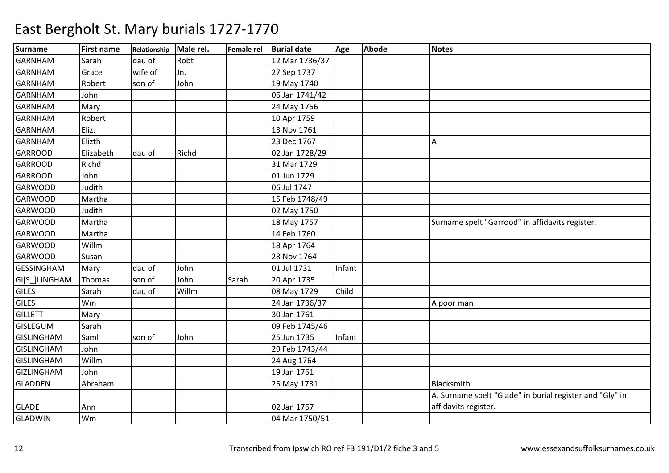| <b>Surname</b>    | <b>First name</b> | Relationship | Male rel. | Female rel | <b>Burial date</b> | Age    | Abode | <b>Notes</b>                                             |
|-------------------|-------------------|--------------|-----------|------------|--------------------|--------|-------|----------------------------------------------------------|
| <b>GARNHAM</b>    | Sarah             | dau of       | Robt      |            | 12 Mar 1736/37     |        |       |                                                          |
| <b>GARNHAM</b>    | Grace             | wife of      | Jn.       |            | 27 Sep 1737        |        |       |                                                          |
| <b>GARNHAM</b>    | Robert            | son of       | John      |            | 19 May 1740        |        |       |                                                          |
| <b>GARNHAM</b>    | John              |              |           |            | 06 Jan 1741/42     |        |       |                                                          |
| <b>GARNHAM</b>    | Mary              |              |           |            | 24 May 1756        |        |       |                                                          |
| <b>GARNHAM</b>    | Robert            |              |           |            | 10 Apr 1759        |        |       |                                                          |
| <b>GARNHAM</b>    | Eliz.             |              |           |            | 13 Nov 1761        |        |       |                                                          |
| <b>GARNHAM</b>    | Elizth            |              |           |            | 23 Dec 1767        |        |       | А                                                        |
| <b>GARROOD</b>    | Elizabeth         | dau of       | Richd     |            | 02 Jan 1728/29     |        |       |                                                          |
| <b>GARROOD</b>    | Richd             |              |           |            | 31 Mar 1729        |        |       |                                                          |
| <b>GARROOD</b>    | John              |              |           |            | 01 Jun 1729        |        |       |                                                          |
| <b>GARWOOD</b>    | Judith            |              |           |            | 06 Jul 1747        |        |       |                                                          |
| <b>GARWOOD</b>    | Martha            |              |           |            | 15 Feb 1748/49     |        |       |                                                          |
| <b>GARWOOD</b>    | Judith            |              |           |            | 02 May 1750        |        |       |                                                          |
| <b>GARWOOD</b>    | Martha            |              |           |            | 18 May 1757        |        |       | Surname spelt "Garrood" in affidavits register.          |
| <b>GARWOOD</b>    | Martha            |              |           |            | 14 Feb 1760        |        |       |                                                          |
| <b>GARWOOD</b>    | Willm             |              |           |            | 18 Apr 1764        |        |       |                                                          |
| <b>GARWOOD</b>    | Susan             |              |           |            | 28 Nov 1764        |        |       |                                                          |
| <b>GESSINGHAM</b> | Mary              | dau of       | John      |            | 01 Jul 1731        | Infant |       |                                                          |
| GI[S_]LINGHAM     | Thomas            | son of       | John      | Sarah      | 20 Apr 1735        |        |       |                                                          |
| <b>GILES</b>      | Sarah             | dau of       | Willm     |            | 08 May 1729        | Child  |       |                                                          |
| <b>GILES</b>      | Wm                |              |           |            | 24 Jan 1736/37     |        |       | A poor man                                               |
| <b>GILLETT</b>    | Mary              |              |           |            | 30 Jan 1761        |        |       |                                                          |
| <b>GISLEGUM</b>   | Sarah             |              |           |            | 09 Feb 1745/46     |        |       |                                                          |
| <b>GISLINGHAM</b> | Saml              | son of       | John      |            | 25 Jun 1735        | Infant |       |                                                          |
| <b>GISLINGHAM</b> | John              |              |           |            | 29 Feb 1743/44     |        |       |                                                          |
| <b>GISLINGHAM</b> | Willm             |              |           |            | 24 Aug 1764        |        |       |                                                          |
| <b>GIZLINGHAM</b> | John              |              |           |            | 19 Jan 1761        |        |       |                                                          |
| <b>GLADDEN</b>    | Abraham           |              |           |            | 25 May 1731        |        |       | Blacksmith                                               |
|                   |                   |              |           |            |                    |        |       | A. Surname spelt "Glade" in burial register and "Gly" in |
| <b>GLADE</b>      | Ann               |              |           |            | 02 Jan 1767        |        |       | affidavits register.                                     |
| <b>GLADWIN</b>    | Wm                |              |           |            | 04 Mar 1750/51     |        |       |                                                          |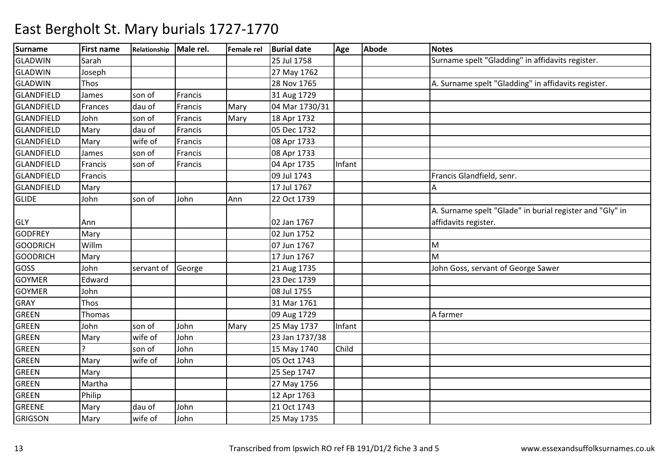| <b>Surname</b>    | <b>First name</b> | Relationship Male rel. |         | Female rel | <b>Burial date</b> | Age    | <b>Abode</b> | <b>Notes</b>                                             |
|-------------------|-------------------|------------------------|---------|------------|--------------------|--------|--------------|----------------------------------------------------------|
| <b>GLADWIN</b>    | Sarah             |                        |         |            | 25 Jul 1758        |        |              | Surname spelt "Gladding" in affidavits register.         |
| <b>GLADWIN</b>    | Joseph            |                        |         |            | 27 May 1762        |        |              |                                                          |
| <b>GLADWIN</b>    | Thos              |                        |         |            | 28 Nov 1765        |        |              | A. Surname spelt "Gladding" in affidavits register.      |
| GLANDFIELD        | James             | son of                 | Francis |            | 31 Aug 1729        |        |              |                                                          |
| <b>GLANDFIELD</b> | Frances           | dau of                 | Francis | Mary       | 04 Mar 1730/31     |        |              |                                                          |
| <b>GLANDFIELD</b> | John              | son of                 | Francis | Mary       | 18 Apr 1732        |        |              |                                                          |
| GLANDFIELD        | Mary              | dau of                 | Francis |            | 05 Dec 1732        |        |              |                                                          |
| <b>GLANDFIELD</b> | Mary              | wife of                | Francis |            | 08 Apr 1733        |        |              |                                                          |
| <b>GLANDFIELD</b> | James             | son of                 | Francis |            | 08 Apr 1733        |        |              |                                                          |
| <b>GLANDFIELD</b> | Francis           | son of                 | Francis |            | 04 Apr 1735        | Infant |              |                                                          |
| GLANDFIELD        | Francis           |                        |         |            | 09 Jul 1743        |        |              | Francis Glandfield, senr.                                |
| GLANDFIELD        | Mary              |                        |         |            | 17 Jul 1767        |        |              |                                                          |
| <b>GLIDE</b>      | John              | son of                 | John    | Ann        | 22 Oct 1739        |        |              |                                                          |
|                   |                   |                        |         |            |                    |        |              | A. Surname spelt "Glade" in burial register and "Gly" in |
| <b>GLY</b>        | Ann               |                        |         |            | 02 Jan 1767        |        |              | affidavits register.                                     |
| <b>GODFREY</b>    | Mary              |                        |         |            | 02 Jun 1752        |        |              |                                                          |
| <b>GOODRICH</b>   | Willm             |                        |         |            | 07 Jun 1767        |        |              | M                                                        |
| <b>GOODRICH</b>   | Mary              |                        |         |            | 17 Jun 1767        |        |              | M                                                        |
| GOSS              | John              | servant of             | George  |            | 21 Aug 1735        |        |              | John Goss, servant of George Sawer                       |
| <b>GOYMER</b>     | Edward            |                        |         |            | 23 Dec 1739        |        |              |                                                          |
| <b>GOYMER</b>     | John              |                        |         |            | 08 Jul 1755        |        |              |                                                          |
| <b>GRAY</b>       | Thos              |                        |         |            | 31 Mar 1761        |        |              |                                                          |
| GREEN             | Thomas            |                        |         |            | 09 Aug 1729        |        |              | A farmer                                                 |
| <b>GREEN</b>      | John              | son of                 | John    | Mary       | 25 May 1737        | Infant |              |                                                          |
| <b>GREEN</b>      | Mary              | wife of                | John    |            | 23 Jan 1737/38     |        |              |                                                          |
| <b>GREEN</b>      |                   | son of                 | John    |            | 15 May 1740        | Child  |              |                                                          |
| <b>GREEN</b>      | Mary              | wife of                | John    |            | 05 Oct 1743        |        |              |                                                          |
| <b>GREEN</b>      | Mary              |                        |         |            | 25 Sep 1747        |        |              |                                                          |
| <b>GREEN</b>      | Martha            |                        |         |            | 27 May 1756        |        |              |                                                          |
| <b>GREEN</b>      | Philip            |                        |         |            | 12 Apr 1763        |        |              |                                                          |
| GREENE            | Mary              | dau of                 | John    |            | 21 Oct 1743        |        |              |                                                          |
| <b>GRIGSON</b>    | Mary              | wife of                | John    |            | 25 May 1735        |        |              |                                                          |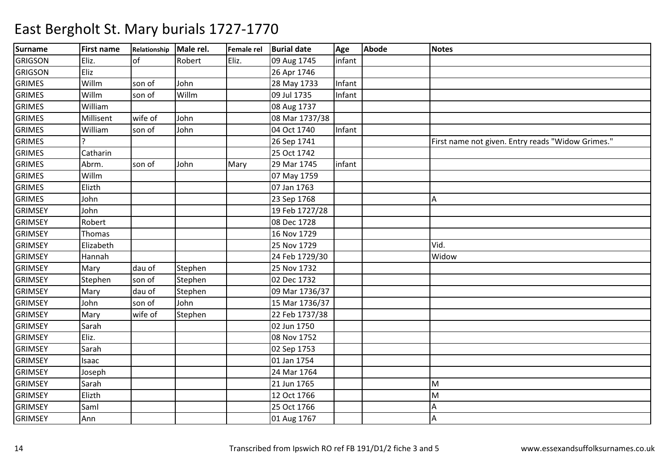| <b>Surname</b> | <b>First name</b> | Relationship Male rel. |         | Female rel | <b>Burial date</b> | Age    | Abode | <b>Notes</b>                                      |
|----------------|-------------------|------------------------|---------|------------|--------------------|--------|-------|---------------------------------------------------|
| <b>GRIGSON</b> | Eliz.             | $\overline{of}$        | Robert  | Eliz.      | 09 Aug 1745        | infant |       |                                                   |
| <b>GRIGSON</b> | Eliz              |                        |         |            | 26 Apr 1746        |        |       |                                                   |
| <b>GRIMES</b>  | Willm             | son of                 | John    |            | 28 May 1733        | Infant |       |                                                   |
| <b>GRIMES</b>  | Willm             | son of                 | Willm   |            | 09 Jul 1735        | Infant |       |                                                   |
| <b>GRIMES</b>  | William           |                        |         |            | 08 Aug 1737        |        |       |                                                   |
| <b>GRIMES</b>  | Millisent         | wife of                | John    |            | 08 Mar 1737/38     |        |       |                                                   |
| <b>GRIMES</b>  | William           | son of                 | John    |            | 04 Oct 1740        | Infant |       |                                                   |
| <b>GRIMES</b>  |                   |                        |         |            | 26 Sep 1741        |        |       | First name not given. Entry reads "Widow Grimes." |
| <b>GRIMES</b>  | Catharin          |                        |         |            | 25 Oct 1742        |        |       |                                                   |
| <b>GRIMES</b>  | Abrm.             | son of                 | John    | Mary       | 29 Mar 1745        | infant |       |                                                   |
| <b>GRIMES</b>  | Willm             |                        |         |            | 07 May 1759        |        |       |                                                   |
| <b>GRIMES</b>  | Elizth            |                        |         |            | 07 Jan 1763        |        |       |                                                   |
| <b>GRIMES</b>  | John              |                        |         |            | 23 Sep 1768        |        |       | Α                                                 |
| <b>GRIMSEY</b> | John              |                        |         |            | 19 Feb 1727/28     |        |       |                                                   |
| <b>GRIMSEY</b> | Robert            |                        |         |            | 08 Dec 1728        |        |       |                                                   |
| <b>GRIMSEY</b> | Thomas            |                        |         |            | 16 Nov 1729        |        |       |                                                   |
| <b>GRIMSEY</b> | Elizabeth         |                        |         |            | 25 Nov 1729        |        |       | Vid.                                              |
| <b>GRIMSEY</b> | Hannah            |                        |         |            | 24 Feb 1729/30     |        |       | Widow                                             |
| <b>GRIMSEY</b> | Mary              | dau of                 | Stephen |            | 25 Nov 1732        |        |       |                                                   |
| <b>GRIMSEY</b> | Stephen           | son of                 | Stephen |            | 02 Dec 1732        |        |       |                                                   |
| <b>GRIMSEY</b> | Mary              | dau of                 | Stephen |            | 09 Mar 1736/37     |        |       |                                                   |
| <b>GRIMSEY</b> | John              | son of                 | John    |            | 15 Mar 1736/37     |        |       |                                                   |
| <b>GRIMSEY</b> | Mary              | wife of                | Stephen |            | 22 Feb 1737/38     |        |       |                                                   |
| <b>GRIMSEY</b> | Sarah             |                        |         |            | 02 Jun 1750        |        |       |                                                   |
| <b>GRIMSEY</b> | Eliz.             |                        |         |            | 08 Nov 1752        |        |       |                                                   |
| <b>GRIMSEY</b> | Sarah             |                        |         |            | 02 Sep 1753        |        |       |                                                   |
| <b>GRIMSEY</b> | Isaac             |                        |         |            | 01 Jan 1754        |        |       |                                                   |
| <b>GRIMSEY</b> | Joseph            |                        |         |            | 24 Mar 1764        |        |       |                                                   |
| <b>GRIMSEY</b> | Sarah             |                        |         |            | 21 Jun 1765        |        |       | M                                                 |
| <b>GRIMSEY</b> | Elizth            |                        |         |            | 12 Oct 1766        |        |       | M                                                 |
| <b>GRIMSEY</b> | Saml              |                        |         |            | 25 Oct 1766        |        |       | А                                                 |
| <b>GRIMSEY</b> | Ann               |                        |         |            | 01 Aug 1767        |        |       | А                                                 |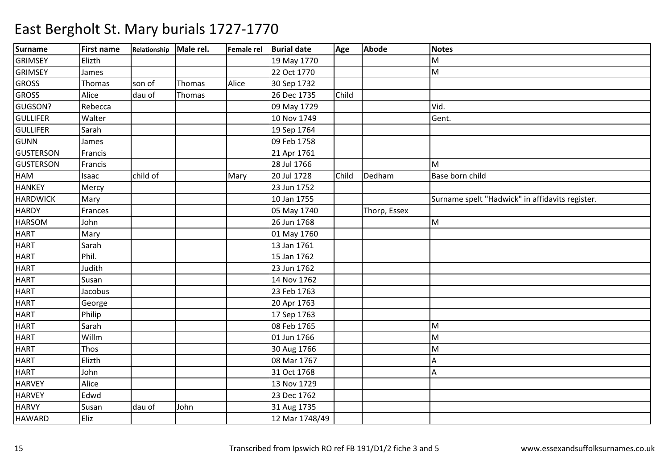| <b>Surname</b>   | <b>First name</b> | Relationship Male rel. |        |       | Female rel Burial date | Age   | Abode        | <b>Notes</b>                                    |
|------------------|-------------------|------------------------|--------|-------|------------------------|-------|--------------|-------------------------------------------------|
| <b>GRIMSEY</b>   | Elizth            |                        |        |       | 19 May 1770            |       |              | M                                               |
| <b>GRIMSEY</b>   | James             |                        |        |       | 22 Oct 1770            |       |              | M                                               |
| <b>GROSS</b>     | Thomas            | son of                 | Thomas | Alice | 30 Sep 1732            |       |              |                                                 |
| <b>GROSS</b>     | Alice             | dau of                 | Thomas |       | 26 Dec 1735            | Child |              |                                                 |
| GUGSON?          | Rebecca           |                        |        |       | 09 May 1729            |       |              | Vid.                                            |
| <b>GULLIFER</b>  | Walter            |                        |        |       | 10 Nov 1749            |       |              | Gent.                                           |
| <b>GULLIFER</b>  | Sarah             |                        |        |       | 19 Sep 1764            |       |              |                                                 |
| <b>GUNN</b>      | James             |                        |        |       | 09 Feb 1758            |       |              |                                                 |
| <b>GUSTERSON</b> | Francis           |                        |        |       | 21 Apr 1761            |       |              |                                                 |
| <b>GUSTERSON</b> | Francis           |                        |        |       | 28 Jul 1766            |       |              | M                                               |
| HAM              | Isaac             | child of               |        | Mary  | 20 Jul 1728            | Child | Dedham       | Base born child                                 |
| <b>HANKEY</b>    | Mercy             |                        |        |       | 23 Jun 1752            |       |              |                                                 |
| <b>HARDWICK</b>  | Mary              |                        |        |       | 10 Jan 1755            |       |              | Surname spelt "Hadwick" in affidavits register. |
| <b>HARDY</b>     | Frances           |                        |        |       | 05 May 1740            |       | Thorp, Essex |                                                 |
| <b>HARSOM</b>    | John              |                        |        |       | 26 Jun 1768            |       |              | M                                               |
| <b>HART</b>      | Mary              |                        |        |       | 01 May 1760            |       |              |                                                 |
| <b>HART</b>      | Sarah             |                        |        |       | 13 Jan 1761            |       |              |                                                 |
| <b>HART</b>      | Phil.             |                        |        |       | 15 Jan 1762            |       |              |                                                 |
| <b>HART</b>      | Judith            |                        |        |       | 23 Jun 1762            |       |              |                                                 |
| <b>HART</b>      | Susan             |                        |        |       | 14 Nov 1762            |       |              |                                                 |
| <b>HART</b>      | Jacobus           |                        |        |       | 23 Feb 1763            |       |              |                                                 |
| <b>HART</b>      | George            |                        |        |       | 20 Apr 1763            |       |              |                                                 |
| <b>HART</b>      | Philip            |                        |        |       | 17 Sep 1763            |       |              |                                                 |
| <b>HART</b>      | Sarah             |                        |        |       | 08 Feb 1765            |       |              | M                                               |
| <b>HART</b>      | Willm             |                        |        |       | 01 Jun 1766            |       |              | M                                               |
| <b>HART</b>      | Thos              |                        |        |       | 30 Aug 1766            |       |              | M                                               |
| <b>HART</b>      | Elizth            |                        |        |       | 08 Mar 1767            |       |              | A                                               |
| <b>HART</b>      | John              |                        |        |       | 31 Oct 1768            |       |              | Α                                               |
| <b>HARVEY</b>    | Alice             |                        |        |       | 13 Nov 1729            |       |              |                                                 |
| <b>HARVEY</b>    | Edwd              |                        |        |       | 23 Dec 1762            |       |              |                                                 |
| <b>HARVY</b>     | Susan             | dau of                 | John   |       | 31 Aug 1735            |       |              |                                                 |
| <b>HAWARD</b>    | Eliz              |                        |        |       | 12 Mar 1748/49         |       |              |                                                 |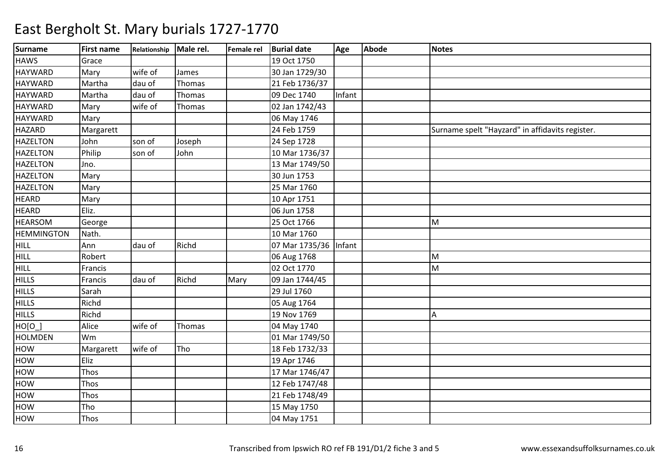| <b>Surname</b>    | <b>First name</b> | Relationship | Male rel. | Female rel | <b>Burial date</b>    | Age    | <b>Abode</b> | <b>Notes</b>                                    |
|-------------------|-------------------|--------------|-----------|------------|-----------------------|--------|--------------|-------------------------------------------------|
| <b>HAWS</b>       | Grace             |              |           |            | 19 Oct 1750           |        |              |                                                 |
| <b>HAYWARD</b>    | Mary              | wife of      | James     |            | 30 Jan 1729/30        |        |              |                                                 |
| <b>HAYWARD</b>    | Martha            | dau of       | Thomas    |            | 21 Feb 1736/37        |        |              |                                                 |
| <b>HAYWARD</b>    | Martha            | dau of       | Thomas    |            | 09 Dec 1740           | Infant |              |                                                 |
| <b>HAYWARD</b>    | Mary              | wife of      | Thomas    |            | 02 Jan 1742/43        |        |              |                                                 |
| <b>HAYWARD</b>    | Mary              |              |           |            | 06 May 1746           |        |              |                                                 |
| <b>HAZARD</b>     | Margarett         |              |           |            | 24 Feb 1759           |        |              | Surname spelt "Hayzard" in affidavits register. |
| <b>HAZELTON</b>   | John              | son of       | Joseph    |            | 24 Sep 1728           |        |              |                                                 |
| <b>HAZELTON</b>   | Philip            | son of       | John      |            | 10 Mar 1736/37        |        |              |                                                 |
| <b>HAZELTON</b>   | Jno.              |              |           |            | 13 Mar 1749/50        |        |              |                                                 |
| <b>HAZELTON</b>   | Mary              |              |           |            | 30 Jun 1753           |        |              |                                                 |
| <b>HAZELTON</b>   | Mary              |              |           |            | 25 Mar 1760           |        |              |                                                 |
| <b>HEARD</b>      | Mary              |              |           |            | 10 Apr 1751           |        |              |                                                 |
| <b>HEARD</b>      | Eliz.             |              |           |            | 06 Jun 1758           |        |              |                                                 |
| <b>HEARSOM</b>    | George            |              |           |            | 25 Oct 1766           |        |              | M                                               |
| <b>HEMMINGTON</b> | Nath.             |              |           |            | 10 Mar 1760           |        |              |                                                 |
| <b>HILL</b>       | Ann               | dau of       | Richd     |            | 07 Mar 1735/36 Infant |        |              |                                                 |
| <b>HILL</b>       | Robert            |              |           |            | 06 Aug 1768           |        |              | M                                               |
| HILL              | Francis           |              |           |            | 02 Oct 1770           |        |              | M                                               |
| <b>HILLS</b>      | Francis           | dau of       | Richd     | Mary       | 09 Jan 1744/45        |        |              |                                                 |
| <b>HILLS</b>      | Sarah             |              |           |            | 29 Jul 1760           |        |              |                                                 |
| <b>HILLS</b>      | Richd             |              |           |            | 05 Aug 1764           |        |              |                                                 |
| <b>HILLS</b>      | Richd             |              |           |            | 19 Nov 1769           |        |              | A                                               |
| HO[0]             | Alice             | wife of      | Thomas    |            | 04 May 1740           |        |              |                                                 |
| <b>HOLMDEN</b>    | Wm                |              |           |            | 01 Mar 1749/50        |        |              |                                                 |
| HOW               | Margarett         | wife of      | Tho       |            | 18 Feb 1732/33        |        |              |                                                 |
| HOW               | Eliz              |              |           |            | 19 Apr 1746           |        |              |                                                 |
| HOW               | Thos              |              |           |            | 17 Mar 1746/47        |        |              |                                                 |
| HOW               | Thos              |              |           |            | 12 Feb 1747/48        |        |              |                                                 |
| HOW               | Thos              |              |           |            | 21 Feb 1748/49        |        |              |                                                 |
| HOW               | Tho               |              |           |            | 15 May 1750           |        |              |                                                 |
| HOW               | Thos              |              |           |            | 04 May 1751           |        |              |                                                 |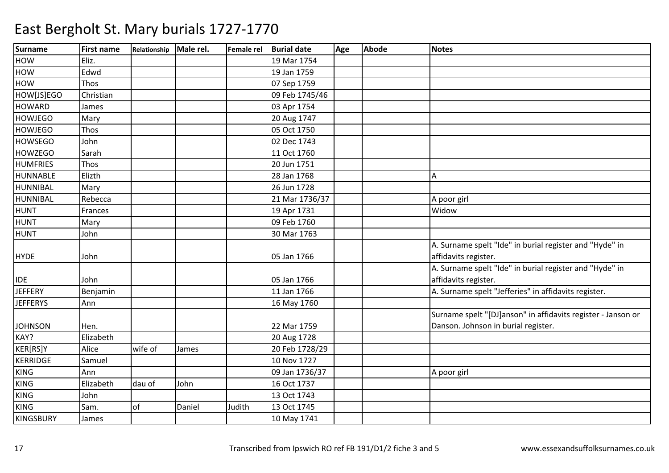| <b>Surname</b>   | <b>First name</b> | Relationship Male rel. |        | Female rel | <b>Burial date</b> | Age | <b>Abode</b> | <b>Notes</b>                                                 |
|------------------|-------------------|------------------------|--------|------------|--------------------|-----|--------------|--------------------------------------------------------------|
| <b>HOW</b>       | Eliz.             |                        |        |            | 19 Mar 1754        |     |              |                                                              |
| HOW              | Edwd              |                        |        |            | 19 Jan 1759        |     |              |                                                              |
| <b>HOW</b>       | Thos              |                        |        |            | 07 Sep 1759        |     |              |                                                              |
| HOW[JS]EGO       | Christian         |                        |        |            | 09 Feb 1745/46     |     |              |                                                              |
| <b>HOWARD</b>    | James             |                        |        |            | 03 Apr 1754        |     |              |                                                              |
| <b>HOWJEGO</b>   | Mary              |                        |        |            | 20 Aug 1747        |     |              |                                                              |
| <b>HOWJEGO</b>   | Thos              |                        |        |            | 05 Oct 1750        |     |              |                                                              |
| <b>HOWSEGO</b>   | John              |                        |        |            | 02 Dec 1743        |     |              |                                                              |
| <b>HOWZEGO</b>   | Sarah             |                        |        |            | 11 Oct 1760        |     |              |                                                              |
| <b>HUMFRIES</b>  | Thos              |                        |        |            | 20 Jun 1751        |     |              |                                                              |
| <b>HUNNABLE</b>  | Elizth            |                        |        |            | 28 Jan 1768        |     |              | А                                                            |
| <b>HUNNIBAL</b>  | Mary              |                        |        |            | 26 Jun 1728        |     |              |                                                              |
| <b>HUNNIBAL</b>  | Rebecca           |                        |        |            | 21 Mar 1736/37     |     |              | A poor girl                                                  |
| <b>HUNT</b>      | Frances           |                        |        |            | 19 Apr 1731        |     |              | Widow                                                        |
| <b>HUNT</b>      | Mary              |                        |        |            | 09 Feb 1760        |     |              |                                                              |
| <b>HUNT</b>      | John              |                        |        |            | 30 Mar 1763        |     |              |                                                              |
|                  |                   |                        |        |            |                    |     |              | A. Surname spelt "Ide" in burial register and "Hyde" in      |
| <b>HYDE</b>      | John              |                        |        |            | 05 Jan 1766        |     |              | affidavits register.                                         |
|                  |                   |                        |        |            |                    |     |              | A. Surname spelt "Ide" in burial register and "Hyde" in      |
| <b>IDE</b>       | John              |                        |        |            | 05 Jan 1766        |     |              | affidavits register.                                         |
| <b>JEFFERY</b>   | Benjamin          |                        |        |            | 11 Jan 1766        |     |              | A. Surname spelt "Jefferies" in affidavits register.         |
| <b>JEFFERYS</b>  | Ann               |                        |        |            | 16 May 1760        |     |              |                                                              |
|                  |                   |                        |        |            |                    |     |              | Surname spelt "[DJ]anson" in affidavits register - Janson or |
| <b>JOHNSON</b>   | Hen.              |                        |        |            | 22 Mar 1759        |     |              | Danson. Johnson in burial register.                          |
| KAY?             | Elizabeth         |                        |        |            | 20 Aug 1728        |     |              |                                                              |
| KER[RS]Y         | Alice             | wife of                | James  |            | 20 Feb 1728/29     |     |              |                                                              |
| <b>KERRIDGE</b>  | Samuel            |                        |        |            | 10 Nov 1727        |     |              |                                                              |
| <b>KING</b>      | Ann               |                        |        |            | 09 Jan 1736/37     |     |              | A poor girl                                                  |
| <b>KING</b>      | Elizabeth         | dau of                 | John   |            | 16 Oct 1737        |     |              |                                                              |
| <b>KING</b>      | John              |                        |        |            | 13 Oct 1743        |     |              |                                                              |
| <b>KING</b>      | Sam.              | of                     | Daniel | Judith     | 13 Oct 1745        |     |              |                                                              |
| <b>KINGSBURY</b> | James             |                        |        |            | 10 May 1741        |     |              |                                                              |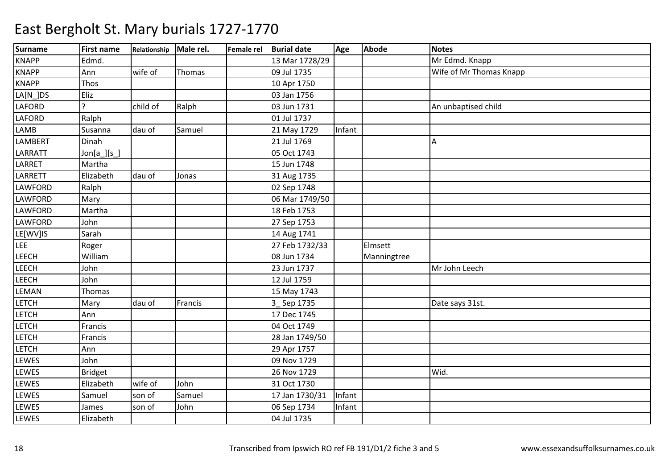| <b>Surname</b> | <b>First name</b>        | Relationship Male rel. |         | Female rel Burial date | Age    | <b>Abode</b> | <b>Notes</b>            |
|----------------|--------------------------|------------------------|---------|------------------------|--------|--------------|-------------------------|
| <b>KNAPP</b>   | Edmd.                    |                        |         | 13 Mar 1728/29         |        |              | Mr Edmd. Knapp          |
| <b>KNAPP</b>   | Ann                      | wife of                | Thomas  | 09 Jul 1735            |        |              | Wife of Mr Thomas Knapp |
| <b>KNAPP</b>   | Thos                     |                        |         | 10 Apr 1750            |        |              |                         |
| $LA[N_$ JDS    | Eliz                     |                        |         | 03 Jan 1756            |        |              |                         |
| <b>LAFORD</b>  | $\overline{\phantom{a}}$ | child of               | Ralph   | 03 Jun 1731            |        |              | An unbaptised child     |
| <b>LAFORD</b>  | Ralph                    |                        |         | 01 Jul 1737            |        |              |                         |
| LAMB           | Susanna                  | dau of                 | Samuel  | 21 May 1729            | Infant |              |                         |
| <b>LAMBERT</b> | Dinah                    |                        |         | 21 Jul 1769            |        |              | А                       |
| LARRATT        | $Jon[a_j[s_j]$           |                        |         | 05 Oct 1743            |        |              |                         |
| LARRET         | Martha                   |                        |         | 15 Jun 1748            |        |              |                         |
| LARRETT        | Elizabeth                | dau of                 | Jonas   | 31 Aug 1735            |        |              |                         |
| <b>LAWFORD</b> | Ralph                    |                        |         | 02 Sep 1748            |        |              |                         |
| LAWFORD        | Mary                     |                        |         | 06 Mar 1749/50         |        |              |                         |
| LAWFORD        | Martha                   |                        |         | 18 Feb 1753            |        |              |                         |
| LAWFORD        | John                     |                        |         | 27 Sep 1753            |        |              |                         |
| LE[WV]IS       | Sarah                    |                        |         | 14 Aug 1741            |        |              |                         |
| <b>LEE</b>     | Roger                    |                        |         | 27 Feb 1732/33         |        | Elmsett      |                         |
| <b>LEECH</b>   | William                  |                        |         | 08 Jun 1734            |        | Manningtree  |                         |
| <b>LEECH</b>   | John                     |                        |         | 23 Jun 1737            |        |              | Mr John Leech           |
| <b>LEECH</b>   | John                     |                        |         | 12 Jul 1759            |        |              |                         |
| LEMAN          | Thomas                   |                        |         | 15 May 1743            |        |              |                         |
| <b>LETCH</b>   | Mary                     | dau of                 | Francis | 3_Sep 1735             |        |              | Date says 31st.         |
| <b>LETCH</b>   | Ann                      |                        |         | 17 Dec 1745            |        |              |                         |
| <b>LETCH</b>   | Francis                  |                        |         | 04 Oct 1749            |        |              |                         |
| <b>LETCH</b>   | Francis                  |                        |         | 28 Jan 1749/50         |        |              |                         |
| <b>LETCH</b>   | Ann                      |                        |         | 29 Apr 1757            |        |              |                         |
| <b>LEWES</b>   | John                     |                        |         | 09 Nov 1729            |        |              |                         |
| <b>LEWES</b>   | <b>Bridget</b>           |                        |         | 26 Nov 1729            |        |              | Wid.                    |
| <b>LEWES</b>   | Elizabeth                | wife of                | John    | 31 Oct 1730            |        |              |                         |
| <b>LEWES</b>   | Samuel                   | son of                 | Samuel  | 17 Jan 1730/31         | Infant |              |                         |
| <b>LEWES</b>   | James                    | son of                 | John    | 06 Sep 1734            | Infant |              |                         |
| <b>LEWES</b>   | Elizabeth                |                        |         | 04 Jul 1735            |        |              |                         |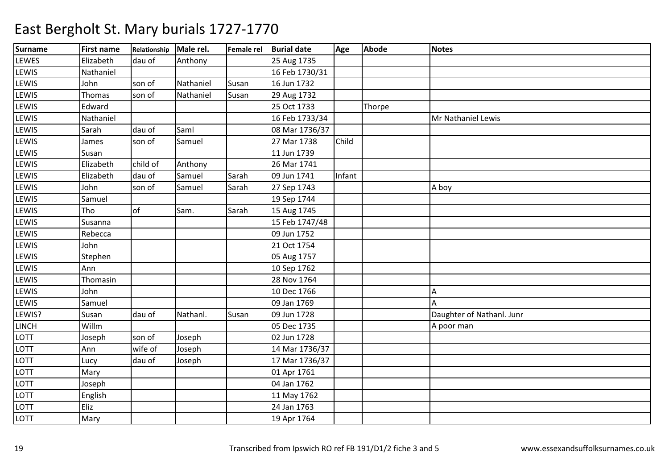| <b>Surname</b> | <b>First name</b> | Relationship Male rel. |           | Female rel | <b>Burial date</b> | Age    | <b>Abode</b> | <b>Notes</b>              |
|----------------|-------------------|------------------------|-----------|------------|--------------------|--------|--------------|---------------------------|
| LEWES          | Elizabeth         | dau of                 | Anthony   |            | 25 Aug 1735        |        |              |                           |
| LEWIS          | Nathaniel         |                        |           |            | 16 Feb 1730/31     |        |              |                           |
| LEWIS          | John              | son of                 | Nathaniel | Susan      | 16 Jun 1732        |        |              |                           |
| LEWIS          | Thomas            | son of                 | Nathaniel | Susan      | 29 Aug 1732        |        |              |                           |
| LEWIS          | Edward            |                        |           |            | 25 Oct 1733        |        | Thorpe       |                           |
| LEWIS          | Nathaniel         |                        |           |            | 16 Feb 1733/34     |        |              | Mr Nathaniel Lewis        |
| LEWIS          | Sarah             | dau of                 | Saml      |            | 08 Mar 1736/37     |        |              |                           |
| LEWIS          | James             | son of                 | Samuel    |            | 27 Mar 1738        | Child  |              |                           |
| LEWIS          | Susan             |                        |           |            | 11 Jun 1739        |        |              |                           |
| LEWIS          | Elizabeth         | child of               | Anthony   |            | 26 Mar 1741        |        |              |                           |
| LEWIS          | Elizabeth         | dau of                 | Samuel    | Sarah      | 09 Jun 1741        | Infant |              |                           |
| LEWIS          | John              | son of                 | Samuel    | Sarah      | 27 Sep 1743        |        |              | A boy                     |
| LEWIS          | Samuel            |                        |           |            | 19 Sep 1744        |        |              |                           |
| LEWIS          | Tho               | of                     | Sam.      | Sarah      | 15 Aug 1745        |        |              |                           |
| LEWIS          | Susanna           |                        |           |            | 15 Feb 1747/48     |        |              |                           |
| LEWIS          | Rebecca           |                        |           |            | 09 Jun 1752        |        |              |                           |
| LEWIS          | John              |                        |           |            | 21 Oct 1754        |        |              |                           |
| LEWIS          | Stephen           |                        |           |            | 05 Aug 1757        |        |              |                           |
| LEWIS          | Ann               |                        |           |            | 10 Sep 1762        |        |              |                           |
| LEWIS          | Thomasin          |                        |           |            | 28 Nov 1764        |        |              |                           |
| LEWIS          | John              |                        |           |            | 10 Dec 1766        |        |              | A                         |
| LEWIS          | Samuel            |                        |           |            | 09 Jan 1769        |        |              | A                         |
| LEWIS?         | Susan             | dau of                 | Nathanl.  | Susan      | 09 Jun 1728        |        |              | Daughter of Nathanl. Junr |
| <b>LINCH</b>   | Willm             |                        |           |            | 05 Dec 1735        |        |              | A poor man                |
| LOTT           | Joseph            | son of                 | Joseph    |            | 02 Jun 1728        |        |              |                           |
| LOTT           | Ann               | wife of                | Joseph    |            | 14 Mar 1736/37     |        |              |                           |
| LOTT           | Lucy              | dau of                 | Joseph    |            | 17 Mar 1736/37     |        |              |                           |
| LOTT           | Mary              |                        |           |            | 01 Apr 1761        |        |              |                           |
| <b>LOTT</b>    | Joseph            |                        |           |            | 04 Jan 1762        |        |              |                           |
| LOTT           | English           |                        |           |            | 11 May 1762        |        |              |                           |
| LOTT           | Eliz              |                        |           |            | 24 Jan 1763        |        |              |                           |
| LOTT           | Mary              |                        |           |            | 19 Apr 1764        |        |              |                           |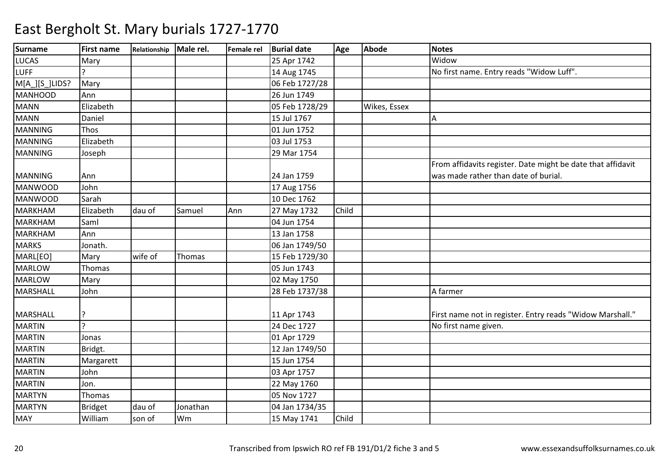| <b>Surname</b>  | <b>First name</b> | Relationship | Male rel. | <b>Female rel</b> | <b>Burial date</b> | Age   | <b>Abode</b> | <b>Notes</b>                                                |
|-----------------|-------------------|--------------|-----------|-------------------|--------------------|-------|--------------|-------------------------------------------------------------|
| <b>LUCAS</b>    | Mary              |              |           |                   | 25 Apr 1742        |       |              | Widow                                                       |
| <b>LUFF</b>     |                   |              |           |                   | 14 Aug 1745        |       |              | No first name. Entry reads "Widow Luff".                    |
| M[A_][S_]LIDS?  | Mary              |              |           |                   | 06 Feb 1727/28     |       |              |                                                             |
| <b>MANHOOD</b>  | Ann               |              |           |                   | 26 Jun 1749        |       |              |                                                             |
| <b>MANN</b>     | Elizabeth         |              |           |                   | 05 Feb 1728/29     |       | Wikes, Essex |                                                             |
| <b>MANN</b>     | Daniel            |              |           |                   | 15 Jul 1767        |       |              | А                                                           |
| <b>MANNING</b>  | Thos              |              |           |                   | 01 Jun 1752        |       |              |                                                             |
| <b>MANNING</b>  | Elizabeth         |              |           |                   | 03 Jul 1753        |       |              |                                                             |
| <b>MANNING</b>  | Joseph            |              |           |                   | 29 Mar 1754        |       |              |                                                             |
|                 |                   |              |           |                   |                    |       |              | From affidavits register. Date might be date that affidavit |
| <b>MANNING</b>  | Ann               |              |           |                   | 24 Jan 1759        |       |              | was made rather than date of burial.                        |
| <b>MANWOOD</b>  | John              |              |           |                   | 17 Aug 1756        |       |              |                                                             |
| <b>MANWOOD</b>  | Sarah             |              |           |                   | 10 Dec 1762        |       |              |                                                             |
| <b>MARKHAM</b>  | Elizabeth         | dau of       | Samuel    | Ann               | 27 May 1732        | Child |              |                                                             |
| <b>MARKHAM</b>  | Saml              |              |           |                   | 04 Jun 1754        |       |              |                                                             |
| <b>MARKHAM</b>  | Ann               |              |           |                   | 13 Jan 1758        |       |              |                                                             |
| <b>MARKS</b>    | Jonath.           |              |           |                   | 06 Jan 1749/50     |       |              |                                                             |
| MARL[EO]        | Mary              | wife of      | Thomas    |                   | 15 Feb 1729/30     |       |              |                                                             |
| <b>MARLOW</b>   | Thomas            |              |           |                   | 05 Jun 1743        |       |              |                                                             |
| <b>MARLOW</b>   | Mary              |              |           |                   | 02 May 1750        |       |              |                                                             |
| <b>MARSHALL</b> | John              |              |           |                   | 28 Feb 1737/38     |       |              | A farmer                                                    |
| <b>MARSHALL</b> | P.                |              |           |                   | 11 Apr 1743        |       |              | First name not in register. Entry reads "Widow Marshall."   |
| <b>MARTIN</b>   | c l               |              |           |                   | 24 Dec 1727        |       |              | No first name given.                                        |
| <b>MARTIN</b>   | Jonas             |              |           |                   | 01 Apr 1729        |       |              |                                                             |
| <b>MARTIN</b>   | Bridgt.           |              |           |                   | 12 Jan 1749/50     |       |              |                                                             |
| <b>MARTIN</b>   | Margarett         |              |           |                   | 15 Jun 1754        |       |              |                                                             |
| <b>MARTIN</b>   | John              |              |           |                   | 03 Apr 1757        |       |              |                                                             |
| <b>MARTIN</b>   | Jon.              |              |           |                   | 22 May 1760        |       |              |                                                             |
| <b>MARTYN</b>   | Thomas            |              |           |                   | 05 Nov 1727        |       |              |                                                             |
| <b>MARTYN</b>   | <b>Bridget</b>    | dau of       | Jonathan  |                   | 04 Jan 1734/35     |       |              |                                                             |
| <b>MAY</b>      | William           | son of       | Wm        |                   | 15 May 1741        | Child |              |                                                             |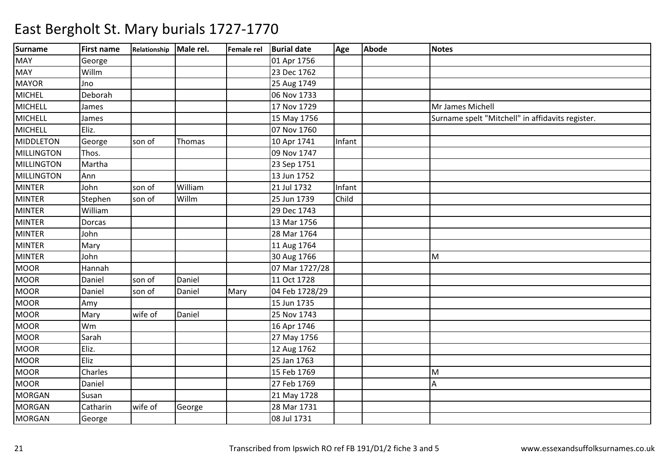| <b>Surname</b>    | <b>First name</b> | Relationship Male rel. |         | Female rel | <b>Burial date</b> | Age    | <b>Abode</b> | <b>Notes</b>                                     |
|-------------------|-------------------|------------------------|---------|------------|--------------------|--------|--------------|--------------------------------------------------|
| <b>MAY</b>        | George            |                        |         |            | 01 Apr 1756        |        |              |                                                  |
| MAY               | Willm             |                        |         |            | 23 Dec 1762        |        |              |                                                  |
| <b>MAYOR</b>      | Jno               |                        |         |            | 25 Aug 1749        |        |              |                                                  |
| <b>MICHEL</b>     | Deborah           |                        |         |            | 06 Nov 1733        |        |              |                                                  |
| <b>MICHELL</b>    | James             |                        |         |            | 17 Nov 1729        |        |              | Mr James Michell                                 |
| <b>MICHELL</b>    | James             |                        |         |            | 15 May 1756        |        |              | Surname spelt "Mitchell" in affidavits register. |
| <b>MICHELL</b>    | Eliz.             |                        |         |            | 07 Nov 1760        |        |              |                                                  |
| <b>MIDDLETON</b>  | George            | son of                 | Thomas  |            | 10 Apr 1741        | Infant |              |                                                  |
| MILLINGTON        | Thos.             |                        |         |            | 09 Nov 1747        |        |              |                                                  |
| MILLINGTON        | Martha            |                        |         |            | 23 Sep 1751        |        |              |                                                  |
| <b>MILLINGTON</b> | Ann               |                        |         |            | 13 Jun 1752        |        |              |                                                  |
| <b>MINTER</b>     | John              | son of                 | William |            | 21 Jul 1732        | Infant |              |                                                  |
| <b>MINTER</b>     | Stephen           | son of                 | Willm   |            | 25 Jun 1739        | Child  |              |                                                  |
| <b>MINTER</b>     | William           |                        |         |            | 29 Dec 1743        |        |              |                                                  |
| <b>MINTER</b>     | Dorcas            |                        |         |            | 13 Mar 1756        |        |              |                                                  |
| <b>MINTER</b>     | John              |                        |         |            | 28 Mar 1764        |        |              |                                                  |
| <b>MINTER</b>     | Mary              |                        |         |            | 11 Aug 1764        |        |              |                                                  |
| <b>MINTER</b>     | John              |                        |         |            | 30 Aug 1766        |        |              | M                                                |
| <b>MOOR</b>       | Hannah            |                        |         |            | 07 Mar 1727/28     |        |              |                                                  |
| <b>MOOR</b>       | Daniel            | son of                 | Daniel  |            | 11 Oct 1728        |        |              |                                                  |
| <b>MOOR</b>       | Daniel            | son of                 | Daniel  | Mary       | 04 Feb 1728/29     |        |              |                                                  |
| <b>MOOR</b>       | Amy               |                        |         |            | 15 Jun 1735        |        |              |                                                  |
| <b>MOOR</b>       | Mary              | wife of                | Daniel  |            | 25 Nov 1743        |        |              |                                                  |
| <b>MOOR</b>       | Wm                |                        |         |            | 16 Apr 1746        |        |              |                                                  |
| <b>MOOR</b>       | Sarah             |                        |         |            | 27 May 1756        |        |              |                                                  |
| <b>MOOR</b>       | Eliz.             |                        |         |            | 12 Aug 1762        |        |              |                                                  |
| <b>MOOR</b>       | Eliz              |                        |         |            | 25 Jan 1763        |        |              |                                                  |
| <b>MOOR</b>       | Charles           |                        |         |            | 15 Feb 1769        |        |              | M                                                |
| <b>MOOR</b>       | Daniel            |                        |         |            | 27 Feb 1769        |        |              | Α                                                |
| <b>MORGAN</b>     | Susan             |                        |         |            | 21 May 1728        |        |              |                                                  |
| <b>MORGAN</b>     | Catharin          | wife of                | George  |            | 28 Mar 1731        |        |              |                                                  |
| <b>MORGAN</b>     | George            |                        |         |            | 08 Jul 1731        |        |              |                                                  |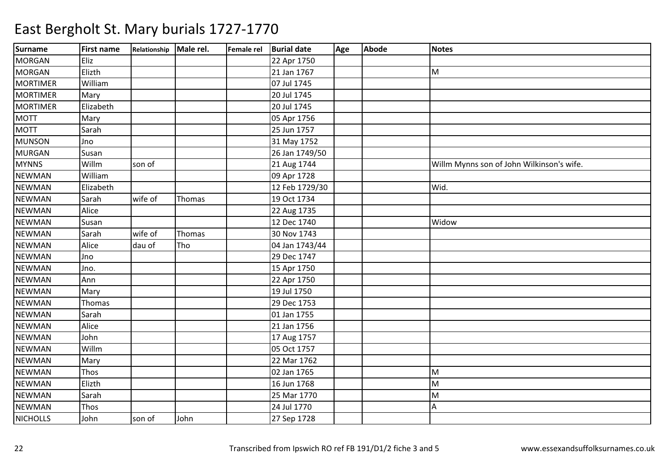| Surname         | <b>First name</b> | Relationship Male rel. |        | Female rel Burial date | Age | <b>Abode</b> | <b>Notes</b>                              |
|-----------------|-------------------|------------------------|--------|------------------------|-----|--------------|-------------------------------------------|
| <b>MORGAN</b>   | Eliz              |                        |        | 22 Apr 1750            |     |              |                                           |
| <b>MORGAN</b>   | Elizth            |                        |        | 21 Jan 1767            |     |              | M                                         |
| <b>MORTIMER</b> | William           |                        |        | 07 Jul 1745            |     |              |                                           |
| <b>MORTIMER</b> | Mary              |                        |        | 20 Jul 1745            |     |              |                                           |
| <b>MORTIMER</b> | Elizabeth         |                        |        | 20 Jul 1745            |     |              |                                           |
| <b>MOTT</b>     | Mary              |                        |        | 05 Apr 1756            |     |              |                                           |
| <b>MOTT</b>     | Sarah             |                        |        | 25 Jun 1757            |     |              |                                           |
| <b>MUNSON</b>   | Jno               |                        |        | 31 May 1752            |     |              |                                           |
| <b>MURGAN</b>   | Susan             |                        |        | 26 Jan 1749/50         |     |              |                                           |
| <b>MYNNS</b>    | Willm             | son of                 |        | 21 Aug 1744            |     |              | Willm Mynns son of John Wilkinson's wife. |
| <b>NEWMAN</b>   | William           |                        |        | 09 Apr 1728            |     |              |                                           |
| <b>NEWMAN</b>   | Elizabeth         |                        |        | 12 Feb 1729/30         |     |              | Wid.                                      |
| <b>NEWMAN</b>   | Sarah             | wife of                | Thomas | 19 Oct 1734            |     |              |                                           |
| <b>NEWMAN</b>   | Alice             |                        |        | 22 Aug 1735            |     |              |                                           |
| <b>NEWMAN</b>   | Susan             |                        |        | 12 Dec 1740            |     |              | Widow                                     |
| <b>NEWMAN</b>   | Sarah             | wife of                | Thomas | 30 Nov 1743            |     |              |                                           |
| <b>NEWMAN</b>   | Alice             | dau of                 | Tho    | 04 Jan 1743/44         |     |              |                                           |
| <b>NEWMAN</b>   | Jno               |                        |        | 29 Dec 1747            |     |              |                                           |
| <b>NEWMAN</b>   | Jno.              |                        |        | 15 Apr 1750            |     |              |                                           |
| <b>NEWMAN</b>   | Ann               |                        |        | 22 Apr 1750            |     |              |                                           |
| <b>NEWMAN</b>   | Mary              |                        |        | 19 Jul 1750            |     |              |                                           |
| <b>NEWMAN</b>   | Thomas            |                        |        | 29 Dec 1753            |     |              |                                           |
| <b>NEWMAN</b>   | Sarah             |                        |        | 01 Jan 1755            |     |              |                                           |
| <b>NEWMAN</b>   | Alice             |                        |        | 21 Jan 1756            |     |              |                                           |
| <b>NEWMAN</b>   | John              |                        |        | 17 Aug 1757            |     |              |                                           |
| <b>NEWMAN</b>   | Willm             |                        |        | 05 Oct 1757            |     |              |                                           |
| <b>NEWMAN</b>   | Mary              |                        |        | 22 Mar 1762            |     |              |                                           |
| <b>NEWMAN</b>   | Thos              |                        |        | 02 Jan 1765            |     |              | M                                         |
| <b>NEWMAN</b>   | Elizth            |                        |        | 16 Jun 1768            |     |              | M                                         |
| <b>NEWMAN</b>   | Sarah             |                        |        | 25 Mar 1770            |     |              | M                                         |
| <b>NEWMAN</b>   | Thos              |                        |        | 24 Jul 1770            |     |              | А                                         |
| <b>NICHOLLS</b> | John              | son of                 | John   | 27 Sep 1728            |     |              |                                           |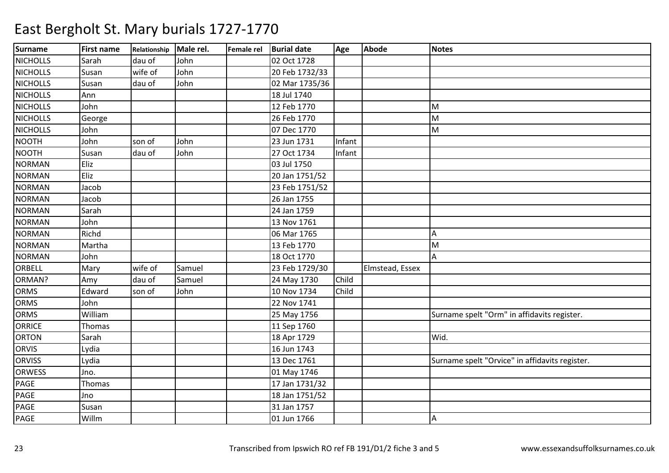| <b>Surname</b>  | <b>First name</b> | Relationship Male rel. |        | Female rel Burial date | Age    | <b>Abode</b>    | <b>Notes</b>                                   |
|-----------------|-------------------|------------------------|--------|------------------------|--------|-----------------|------------------------------------------------|
| <b>NICHOLLS</b> | Sarah             | dau of                 | John   | 02 Oct 1728            |        |                 |                                                |
| <b>NICHOLLS</b> | Susan             | wife of                | John   | 20 Feb 1732/33         |        |                 |                                                |
| <b>NICHOLLS</b> | Susan             | dau of                 | John   | 02 Mar 1735/36         |        |                 |                                                |
| <b>NICHOLLS</b> | Ann               |                        |        | 18 Jul 1740            |        |                 |                                                |
| <b>NICHOLLS</b> | John              |                        |        | 12 Feb 1770            |        |                 | M                                              |
| <b>NICHOLLS</b> | George            |                        |        | 26 Feb 1770            |        |                 | M                                              |
| <b>NICHOLLS</b> | John              |                        |        | 07 Dec 1770            |        |                 | M                                              |
| <b>NOOTH</b>    | John              | son of                 | John   | 23 Jun 1731            | Infant |                 |                                                |
| <b>NOOTH</b>    | Susan             | dau of                 | John   | 27 Oct 1734            | Infant |                 |                                                |
| <b>NORMAN</b>   | Eliz              |                        |        | 03 Jul 1750            |        |                 |                                                |
| <b>NORMAN</b>   | Eliz              |                        |        | 20 Jan 1751/52         |        |                 |                                                |
| <b>NORMAN</b>   | Jacob             |                        |        | 23 Feb 1751/52         |        |                 |                                                |
| <b>NORMAN</b>   | Jacob             |                        |        | 26 Jan 1755            |        |                 |                                                |
| <b>NORMAN</b>   | Sarah             |                        |        | 24 Jan 1759            |        |                 |                                                |
| <b>NORMAN</b>   | John              |                        |        | 13 Nov 1761            |        |                 |                                                |
| <b>NORMAN</b>   | Richd             |                        |        | 06 Mar 1765            |        |                 | Α                                              |
| <b>NORMAN</b>   | Martha            |                        |        | 13 Feb 1770            |        |                 | M                                              |
| <b>NORMAN</b>   | John              |                        |        | 18 Oct 1770            |        |                 | Α                                              |
| ORBELL          | Mary              | wife of                | Samuel | 23 Feb 1729/30         |        | Elmstead, Essex |                                                |
| ORMAN?          | Amy               | dau of                 | Samuel | 24 May 1730            | Child  |                 |                                                |
| <b>ORMS</b>     | Edward            | son of                 | John   | 10 Nov 1734            | Child  |                 |                                                |
| ORMS            | John              |                        |        | 22 Nov 1741            |        |                 |                                                |
| ORMS            | William           |                        |        | 25 May 1756            |        |                 | Surname spelt "Orm" in affidavits register.    |
| <b>ORRICE</b>   | Thomas            |                        |        | 11 Sep 1760            |        |                 |                                                |
| <b>ORTON</b>    | Sarah             |                        |        | 18 Apr 1729            |        |                 | Wid.                                           |
| <b>ORVIS</b>    | Lydia             |                        |        | 16 Jun 1743            |        |                 |                                                |
| <b>ORVISS</b>   | Lydia             |                        |        | 13 Dec 1761            |        |                 | Surname spelt "Orvice" in affidavits register. |
| ORWESS          | Jno.              |                        |        | 01 May 1746            |        |                 |                                                |
| PAGE            | Thomas            |                        |        | 17 Jan 1731/32         |        |                 |                                                |
| PAGE            | Jno               |                        |        | 18 Jan 1751/52         |        |                 |                                                |
| PAGE            | Susan             |                        |        | 31 Jan 1757            |        |                 |                                                |
| <b>PAGE</b>     | Willm             |                        |        | 01 Jun 1766            |        |                 | А                                              |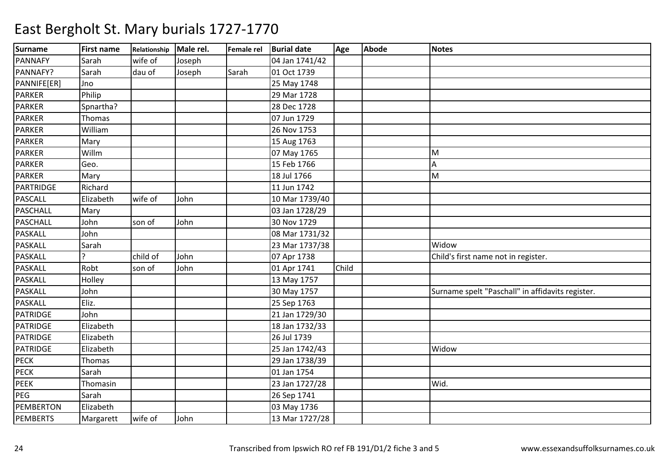| <b>Surname</b>  | <b>First name</b> | Relationship Male rel. |        | Female rel Burial date |                | Age   | <b>Abode</b> | <b>Notes</b>                                     |
|-----------------|-------------------|------------------------|--------|------------------------|----------------|-------|--------------|--------------------------------------------------|
| <b>PANNAFY</b>  | Sarah             | wife of                | Joseph |                        | 04 Jan 1741/42 |       |              |                                                  |
| PANNAFY?        | Sarah             | dau of                 | Joseph | Sarah                  | 01 Oct 1739    |       |              |                                                  |
| PANNIFE[ER]     | Jno               |                        |        |                        | 25 May 1748    |       |              |                                                  |
| <b>PARKER</b>   | Philip            |                        |        |                        | 29 Mar 1728    |       |              |                                                  |
| <b>PARKER</b>   | Spnartha?         |                        |        |                        | 28 Dec 1728    |       |              |                                                  |
| <b>PARKER</b>   | Thomas            |                        |        |                        | 07 Jun 1729    |       |              |                                                  |
| <b>PARKER</b>   | William           |                        |        |                        | 26 Nov 1753    |       |              |                                                  |
| PARKER          | Mary              |                        |        |                        | 15 Aug 1763    |       |              |                                                  |
| <b>PARKER</b>   | Willm             |                        |        |                        | 07 May 1765    |       |              | M                                                |
| <b>PARKER</b>   | Geo.              |                        |        |                        | 15 Feb 1766    |       |              | A                                                |
| <b>PARKER</b>   | Mary              |                        |        |                        | 18 Jul 1766    |       |              | M                                                |
| PARTRIDGE       | Richard           |                        |        |                        | 11 Jun 1742    |       |              |                                                  |
| PASCALL         | Elizabeth         | wife of                | John   |                        | 10 Mar 1739/40 |       |              |                                                  |
| <b>PASCHALL</b> | Mary              |                        |        |                        | 03 Jan 1728/29 |       |              |                                                  |
| <b>PASCHALL</b> | John              | son of                 | John   |                        | 30 Nov 1729    |       |              |                                                  |
| <b>PASKALL</b>  | John              |                        |        |                        | 08 Mar 1731/32 |       |              |                                                  |
| PASKALL         | Sarah             |                        |        |                        | 23 Mar 1737/38 |       |              | Widow                                            |
| PASKALL         |                   | child of               | John   |                        | 07 Apr 1738    |       |              | Child's first name not in register.              |
| PASKALL         | Robt              | son of                 | John   |                        | 01 Apr 1741    | Child |              |                                                  |
| PASKALL         | Holley            |                        |        |                        | 13 May 1757    |       |              |                                                  |
| <b>PASKALL</b>  | John              |                        |        |                        | 30 May 1757    |       |              | Surname spelt "Paschall" in affidavits register. |
| <b>PASKALL</b>  | Eliz.             |                        |        |                        | 25 Sep 1763    |       |              |                                                  |
| PATRIDGE        | John              |                        |        |                        | 21 Jan 1729/30 |       |              |                                                  |
| <b>PATRIDGE</b> | Elizabeth         |                        |        |                        | 18 Jan 1732/33 |       |              |                                                  |
| <b>PATRIDGE</b> | Elizabeth         |                        |        |                        | 26 Jul 1739    |       |              |                                                  |
| PATRIDGE        | Elizabeth         |                        |        |                        | 25 Jan 1742/43 |       |              | Widow                                            |
| <b>PECK</b>     | Thomas            |                        |        |                        | 29 Jan 1738/39 |       |              |                                                  |
| <b>PECK</b>     | Sarah             |                        |        |                        | 01 Jan 1754    |       |              |                                                  |
| <b>PEEK</b>     | Thomasin          |                        |        |                        | 23 Jan 1727/28 |       |              | Wid.                                             |
| PEG             | Sarah             |                        |        |                        | 26 Sep 1741    |       |              |                                                  |
| PEMBERTON       | Elizabeth         |                        |        |                        | 03 May 1736    |       |              |                                                  |
| <b>PEMBERTS</b> | Margarett         | wife of                | John   |                        | 13 Mar 1727/28 |       |              |                                                  |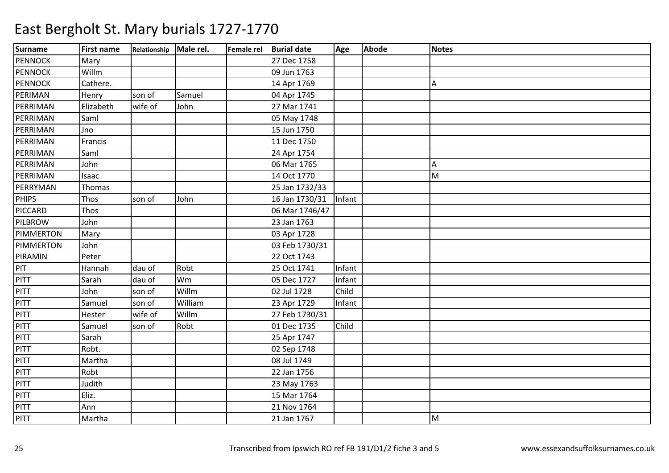| <b>Surname</b> | <b>First name</b> | Relationship Male rel. |         | Female rel Burial date | Age    | Abode | <b>Notes</b> |
|----------------|-------------------|------------------------|---------|------------------------|--------|-------|--------------|
| <b>PENNOCK</b> | Mary              |                        |         | 27 Dec 1758            |        |       |              |
| <b>PENNOCK</b> | Willm             |                        |         | 09 Jun 1763            |        |       |              |
| <b>PENNOCK</b> | Cathere.          |                        |         | 14 Apr 1769            |        |       | A            |
| PERIMAN        | Henry             | son of                 | Samuel  | 04 Apr 1745            |        |       |              |
| PERRIMAN       | Elizabeth         | wife of                | John    | 27 Mar 1741            |        |       |              |
| PERRIMAN       | Saml              |                        |         | 05 May 1748            |        |       |              |
| PERRIMAN       | Jno               |                        |         | 15 Jun 1750            |        |       |              |
| PERRIMAN       | Francis           |                        |         | 11 Dec 1750            |        |       |              |
| PERRIMAN       | Saml              |                        |         | 24 Apr 1754            |        |       |              |
| PERRIMAN       | John              |                        |         | 06 Mar 1765            |        |       | A            |
| PERRIMAN       | Isaac             |                        |         | 14 Oct 1770            |        |       | M            |
| PERRYMAN       | Thomas            |                        |         | 25 Jan 1732/33         |        |       |              |
| <b>PHIPS</b>   | Thos              | son of                 | John    | 16 Jan 1730/31         | Infant |       |              |
| PICCARD        | Thos              |                        |         | 06 Mar 1746/47         |        |       |              |
| <b>PILBROW</b> | John              |                        |         | 23 Jan 1763            |        |       |              |
| PIMMERTON      | Mary              |                        |         | 03 Apr 1728            |        |       |              |
| PIMMERTON      | John              |                        |         | 03 Feb 1730/31         |        |       |              |
| PIRAMIN        | Peter             |                        |         | 22 Oct 1743            |        |       |              |
| PIT            | Hannah            | dau of                 | Robt    | 25 Oct 1741            | Infant |       |              |
| PITT           | Sarah             | dau of                 | Wm      | 05 Dec 1727            | Infant |       |              |
| PITT           | John              | son of                 | Willm   | 02 Jul 1728            | Child  |       |              |
| PITT           | Samuel            | son of                 | William | 23 Apr 1729            | Infant |       |              |
| <b>PITT</b>    | Hester            | wife of                | Willm   | 27 Feb 1730/31         |        |       |              |
| <b>PITT</b>    | Samuel            | son of                 | Robt    | 01 Dec 1735            | Child  |       |              |
| <b>PITT</b>    | Sarah             |                        |         | 25 Apr 1747            |        |       |              |
| <b>PITT</b>    | Robt.             |                        |         | 02 Sep 1748            |        |       |              |
| <b>PITT</b>    | Martha            |                        |         | 08 Jul 1749            |        |       |              |
| PITT           | Robt              |                        |         | 22 Jan 1756            |        |       |              |
| <b>PITT</b>    | Judith            |                        |         | 23 May 1763            |        |       |              |
| <b>PITT</b>    | Eliz.             |                        |         | 15 Mar 1764            |        |       |              |
| <b>PITT</b>    | Ann               |                        |         | 21 Nov 1764            |        |       |              |
| PITT           | Martha            |                        |         | 21 Jan 1767            |        |       | M            |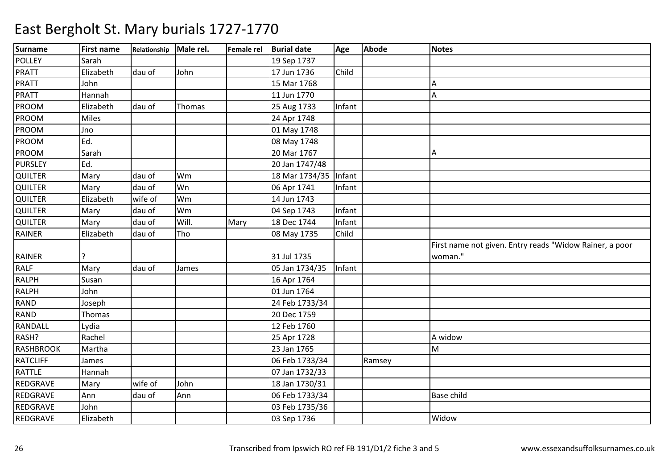| <b>Surname</b>   | <b>First name</b> | Relationship Male rel. |        | Female rel | <b>Burial date</b> | Age    | <b>Abode</b> | <b>Notes</b>                                            |
|------------------|-------------------|------------------------|--------|------------|--------------------|--------|--------------|---------------------------------------------------------|
| <b>POLLEY</b>    | Sarah             |                        |        |            | 19 Sep 1737        |        |              |                                                         |
| <b>PRATT</b>     | Elizabeth         | dau of                 | John   |            | 17 Jun 1736        | Child  |              |                                                         |
| <b>PRATT</b>     | John              |                        |        |            | 15 Mar 1768        |        |              | Α                                                       |
| PRATT            | Hannah            |                        |        |            | 11 Jun 1770        |        |              | A                                                       |
| <b>PROOM</b>     | Elizabeth         | dau of                 | Thomas |            | 25 Aug 1733        | Infant |              |                                                         |
| PROOM            | <b>Miles</b>      |                        |        |            | 24 Apr 1748        |        |              |                                                         |
| PROOM            | Jno               |                        |        |            | 01 May 1748        |        |              |                                                         |
| PROOM            | Ed.               |                        |        |            | 08 May 1748        |        |              |                                                         |
| <b>PROOM</b>     | Sarah             |                        |        |            | 20 Mar 1767        |        |              | Α                                                       |
| <b>PURSLEY</b>   | Ed.               |                        |        |            | 20 Jan 1747/48     |        |              |                                                         |
| QUILTER          | Mary              | dau of                 | Wm     |            | 18 Mar 1734/35     | Infant |              |                                                         |
| QUILTER          | Mary              | dau of                 | Wn     |            | 06 Apr 1741        | Infant |              |                                                         |
| QUILTER          | Elizabeth         | wife of                | Wm     |            | 14 Jun 1743        |        |              |                                                         |
| QUILTER          | Mary              | dau of                 | Wm     |            | 04 Sep 1743        | Infant |              |                                                         |
| QUILTER          | Mary              | dau of                 | Will.  | Mary       | 18 Dec 1744        | Infant |              |                                                         |
| RAINER           | Elizabeth         | dau of                 | Tho    |            | 08 May 1735        | Child  |              |                                                         |
|                  |                   |                        |        |            |                    |        |              | First name not given. Entry reads "Widow Rainer, a poor |
| <b>RAINER</b>    |                   |                        |        |            | 31 Jul 1735        |        |              | woman."                                                 |
| <b>RALF</b>      | Mary              | dau of                 | James  |            | 05 Jan 1734/35     | Infant |              |                                                         |
| <b>RALPH</b>     | Susan             |                        |        |            | 16 Apr 1764        |        |              |                                                         |
| <b>RALPH</b>     | John              |                        |        |            | 01 Jun 1764        |        |              |                                                         |
| <b>RAND</b>      | Joseph            |                        |        |            | 24 Feb 1733/34     |        |              |                                                         |
| <b>RAND</b>      | Thomas            |                        |        |            | 20 Dec 1759        |        |              |                                                         |
| <b>RANDALL</b>   | Lydia             |                        |        |            | 12 Feb 1760        |        |              |                                                         |
| RASH?            | Rachel            |                        |        |            | 25 Apr 1728        |        |              | A widow                                                 |
| <b>RASHBROOK</b> | Martha            |                        |        |            | 23 Jan 1765        |        |              | M                                                       |
| <b>RATCLIFF</b>  | James             |                        |        |            | 06 Feb 1733/34     |        | Ramsey       |                                                         |
| <b>RATTLE</b>    | Hannah            |                        |        |            | 07 Jan 1732/33     |        |              |                                                         |
| REDGRAVE         | Mary              | wife of                | John   |            | 18 Jan 1730/31     |        |              |                                                         |
| REDGRAVE         | Ann               | dau of                 | Ann    |            | 06 Feb 1733/34     |        |              | Base child                                              |
| REDGRAVE         | John              |                        |        |            | 03 Feb 1735/36     |        |              |                                                         |
| REDGRAVE         | Elizabeth         |                        |        |            | 03 Sep 1736        |        |              | Widow                                                   |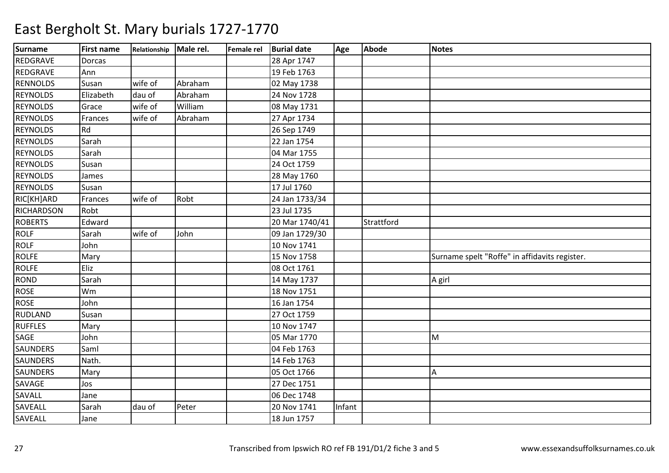| <b>Surname</b>  | <b>First name</b> | Relationship Male rel. |         | Female rel Burial date | Age    | <b>Abode</b> | <b>Notes</b>                                  |
|-----------------|-------------------|------------------------|---------|------------------------|--------|--------------|-----------------------------------------------|
| REDGRAVE        | Dorcas            |                        |         | 28 Apr 1747            |        |              |                                               |
| REDGRAVE        | Ann               |                        |         | 19 Feb 1763            |        |              |                                               |
| <b>RENNOLDS</b> | Susan             | wife of                | Abraham | 02 May 1738            |        |              |                                               |
| <b>REYNOLDS</b> | Elizabeth         | dau of                 | Abraham | 24 Nov 1728            |        |              |                                               |
| <b>REYNOLDS</b> | Grace             | wife of                | William | 08 May 1731            |        |              |                                               |
| <b>REYNOLDS</b> | Frances           | wife of                | Abraham | 27 Apr 1734            |        |              |                                               |
| <b>REYNOLDS</b> | Rd                |                        |         | 26 Sep 1749            |        |              |                                               |
| <b>REYNOLDS</b> | Sarah             |                        |         | 22 Jan 1754            |        |              |                                               |
| <b>REYNOLDS</b> | Sarah             |                        |         | 04 Mar 1755            |        |              |                                               |
| <b>REYNOLDS</b> | Susan             |                        |         | 24 Oct 1759            |        |              |                                               |
| <b>REYNOLDS</b> | James             |                        |         | 28 May 1760            |        |              |                                               |
| <b>REYNOLDS</b> | Susan             |                        |         | 17 Jul 1760            |        |              |                                               |
| RIC[KH]ARD      | Frances           | wife of                | Robt    | 24 Jan 1733/34         |        |              |                                               |
| RICHARDSON      | Robt              |                        |         | 23 Jul 1735            |        |              |                                               |
| <b>ROBERTS</b>  | Edward            |                        |         | 20 Mar 1740/41         |        | Strattford   |                                               |
| <b>ROLF</b>     | Sarah             | wife of                | John    | 09 Jan 1729/30         |        |              |                                               |
| <b>ROLF</b>     | John              |                        |         | 10 Nov 1741            |        |              |                                               |
| <b>ROLFE</b>    | Mary              |                        |         | 15 Nov 1758            |        |              | Surname spelt "Roffe" in affidavits register. |
| <b>ROLFE</b>    | Eliz              |                        |         | 08 Oct 1761            |        |              |                                               |
| <b>ROND</b>     | Sarah             |                        |         | 14 May 1737            |        |              | A girl                                        |
| <b>ROSE</b>     | Wm                |                        |         | 18 Nov 1751            |        |              |                                               |
| <b>ROSE</b>     | John              |                        |         | 16 Jan 1754            |        |              |                                               |
| RUDLAND         | Susan             |                        |         | 27 Oct 1759            |        |              |                                               |
| <b>RUFFLES</b>  | Mary              |                        |         | 10 Nov 1747            |        |              |                                               |
| SAGE            | John              |                        |         | 05 Mar 1770            |        |              | M                                             |
| <b>SAUNDERS</b> | Saml              |                        |         | 04 Feb 1763            |        |              |                                               |
| <b>SAUNDERS</b> | Nath.             |                        |         | 14 Feb 1763            |        |              |                                               |
| <b>SAUNDERS</b> | Mary              |                        |         | 05 Oct 1766            |        |              | Α                                             |
| <b>SAVAGE</b>   | Jos               |                        |         | 27 Dec 1751            |        |              |                                               |
| SAVALL          | Jane              |                        |         | 06 Dec 1748            |        |              |                                               |
| SAVEALL         | Sarah             | dau of                 | Peter   | 20 Nov 1741            | Infant |              |                                               |
| SAVEALL         | Jane              |                        |         | 18 Jun 1757            |        |              |                                               |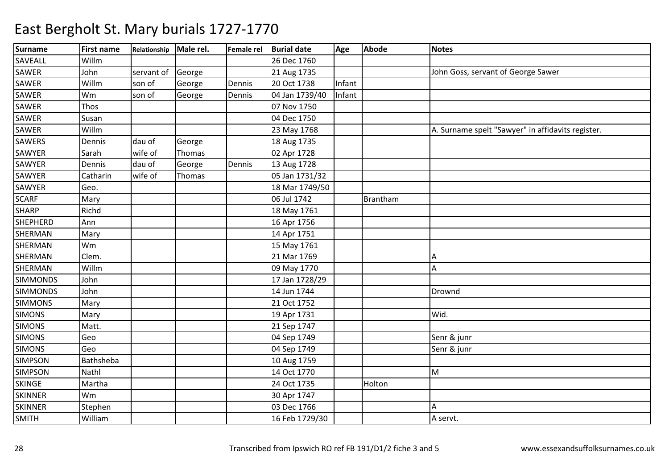| <b>Surname</b>  | <b>First name</b> | Relationship Male rel. |        | Female rel | <b>Burial date</b> | Age    | <b>Abode</b> | <b>Notes</b>                                      |
|-----------------|-------------------|------------------------|--------|------------|--------------------|--------|--------------|---------------------------------------------------|
| SAVEALL         | Willm             |                        |        |            | 26 Dec 1760        |        |              |                                                   |
| <b>SAWER</b>    | John              | servant of             | George |            | 21 Aug 1735        |        |              | John Goss, servant of George Sawer                |
| <b>SAWER</b>    | Willm             | son of                 | George | Dennis     | 20 Oct 1738        | Infant |              |                                                   |
| <b>SAWER</b>    | Wm                | son of                 | George | Dennis     | 04 Jan 1739/40     | Infant |              |                                                   |
| SAWER           | Thos              |                        |        |            | 07 Nov 1750        |        |              |                                                   |
| <b>SAWER</b>    | Susan             |                        |        |            | 04 Dec 1750        |        |              |                                                   |
| <b>SAWER</b>    | Willm             |                        |        |            | 23 May 1768        |        |              | A. Surname spelt "Sawyer" in affidavits register. |
| <b>SAWERS</b>   | Dennis            | dau of                 | George |            | 18 Aug 1735        |        |              |                                                   |
| <b>SAWYER</b>   | Sarah             | wife of                | Thomas |            | 02 Apr 1728        |        |              |                                                   |
| <b>SAWYER</b>   | Dennis            | dau of                 | George | Dennis     | 13 Aug 1728        |        |              |                                                   |
| SAWYER          | Catharin          | wife of                | Thomas |            | 05 Jan 1731/32     |        |              |                                                   |
| SAWYER          | Geo.              |                        |        |            | 18 Mar 1749/50     |        |              |                                                   |
| <b>SCARF</b>    | Mary              |                        |        |            | 06 Jul 1742        |        | Brantham     |                                                   |
| <b>SHARP</b>    | Richd             |                        |        |            | 18 May 1761        |        |              |                                                   |
| <b>SHEPHERD</b> | Ann               |                        |        |            | 16 Apr 1756        |        |              |                                                   |
| SHERMAN         | Mary              |                        |        |            | 14 Apr 1751        |        |              |                                                   |
| SHERMAN         | Wm                |                        |        |            | 15 May 1761        |        |              |                                                   |
| <b>SHERMAN</b>  | Clem.             |                        |        |            | 21 Mar 1769        |        |              | Α                                                 |
| <b>SHERMAN</b>  | Willm             |                        |        |            | 09 May 1770        |        |              | Α                                                 |
| <b>SIMMONDS</b> | John              |                        |        |            | 17 Jan 1728/29     |        |              |                                                   |
| <b>SIMMONDS</b> | John              |                        |        |            | 14 Jun 1744        |        |              | Drownd                                            |
| <b>SIMMONS</b>  | Mary              |                        |        |            | 21 Oct 1752        |        |              |                                                   |
| <b>SIMONS</b>   | Mary              |                        |        |            | 19 Apr 1731        |        |              | Wid.                                              |
| <b>SIMONS</b>   | Matt.             |                        |        |            | 21 Sep 1747        |        |              |                                                   |
| <b>SIMONS</b>   | Geo               |                        |        |            | 04 Sep 1749        |        |              | Senr & junr                                       |
| <b>SIMONS</b>   | Geo               |                        |        |            | 04 Sep 1749        |        |              | Senr & junr                                       |
| <b>SIMPSON</b>  | Bathsheba         |                        |        |            | 10 Aug 1759        |        |              |                                                   |
| <b>SIMPSON</b>  | Nathl             |                        |        |            | 14 Oct 1770        |        |              | M                                                 |
| <b>SKINGE</b>   | Martha            |                        |        |            | 24 Oct 1735        |        | Holton       |                                                   |
| <b>SKINNER</b>  | Wm                |                        |        |            | 30 Apr 1747        |        |              |                                                   |
| <b>SKINNER</b>  | Stephen           |                        |        |            | 03 Dec 1766        |        |              | Α                                                 |
| <b>SMITH</b>    | William           |                        |        |            | 16 Feb 1729/30     |        |              | A servt.                                          |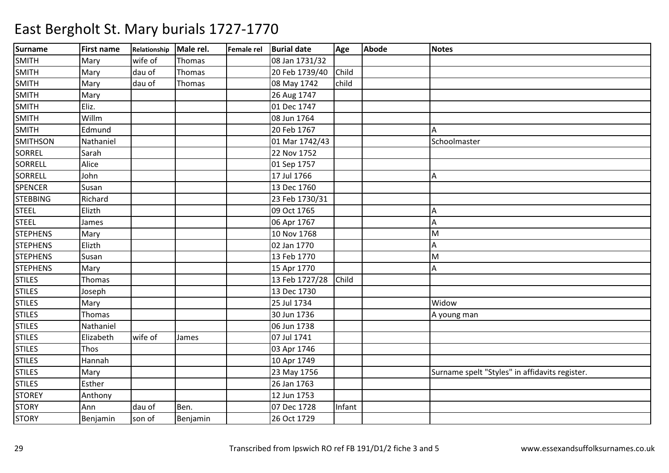| <b>Surname</b>  | <b>First name</b> | Relationship | Male rel. | Female rel | <b>Burial date</b> | Age    | <b>Abode</b> | <b>Notes</b>                                   |
|-----------------|-------------------|--------------|-----------|------------|--------------------|--------|--------------|------------------------------------------------|
| <b>SMITH</b>    | Mary              | wife of      | Thomas    |            | 08 Jan 1731/32     |        |              |                                                |
| <b>SMITH</b>    | Mary              | dau of       | Thomas    |            | 20 Feb 1739/40     | Child  |              |                                                |
| <b>SMITH</b>    | Mary              | dau of       | Thomas    |            | 08 May 1742        | child  |              |                                                |
| <b>SMITH</b>    | Mary              |              |           |            | 26 Aug 1747        |        |              |                                                |
| <b>SMITH</b>    | Eliz.             |              |           |            | 01 Dec 1747        |        |              |                                                |
| <b>SMITH</b>    | Willm             |              |           |            | 08 Jun 1764        |        |              |                                                |
| <b>SMITH</b>    | Edmund            |              |           |            | 20 Feb 1767        |        |              | Α                                              |
| <b>SMITHSON</b> | Nathaniel         |              |           |            | 01 Mar 1742/43     |        |              | Schoolmaster                                   |
| <b>SORREL</b>   | Sarah             |              |           |            | 22 Nov 1752        |        |              |                                                |
| SORRELL         | Alice             |              |           |            | 01 Sep 1757        |        |              |                                                |
| SORRELL         | John              |              |           |            | 17 Jul 1766        |        |              | Α                                              |
| <b>SPENCER</b>  | Susan             |              |           |            | 13 Dec 1760        |        |              |                                                |
| <b>STEBBING</b> | Richard           |              |           |            | 23 Feb 1730/31     |        |              |                                                |
| <b>STEEL</b>    | Elizth            |              |           |            | 09 Oct 1765        |        |              | Α                                              |
| <b>STEEL</b>    | James             |              |           |            | 06 Apr 1767        |        |              | Α                                              |
| <b>STEPHENS</b> | Mary              |              |           |            | 10 Nov 1768        |        |              | M                                              |
| <b>STEPHENS</b> | Elizth            |              |           |            | 02 Jan 1770        |        |              | Α                                              |
| <b>STEPHENS</b> | Susan             |              |           |            | 13 Feb 1770        |        |              | M                                              |
| <b>STEPHENS</b> | Mary              |              |           |            | 15 Apr 1770        |        |              | Α                                              |
| <b>STILES</b>   | Thomas            |              |           |            | 13 Feb 1727/28     | Child  |              |                                                |
| <b>STILES</b>   | Joseph            |              |           |            | 13 Dec 1730        |        |              |                                                |
| <b>STILES</b>   | Mary              |              |           |            | 25 Jul 1734        |        |              | Widow                                          |
| <b>STILES</b>   | Thomas            |              |           |            | 30 Jun 1736        |        |              | A young man                                    |
| <b>STILES</b>   | Nathaniel         |              |           |            | 06 Jun 1738        |        |              |                                                |
| <b>STILES</b>   | Elizabeth         | wife of      | James     |            | 07 Jul 1741        |        |              |                                                |
| <b>STILES</b>   | Thos              |              |           |            | 03 Apr 1746        |        |              |                                                |
| <b>STILES</b>   | Hannah            |              |           |            | 10 Apr 1749        |        |              |                                                |
| <b>STILES</b>   | Mary              |              |           |            | 23 May 1756        |        |              | Surname spelt "Styles" in affidavits register. |
| <b>STILES</b>   | Esther            |              |           |            | 26 Jan 1763        |        |              |                                                |
| <b>STOREY</b>   | Anthony           |              |           |            | 12 Jun 1753        |        |              |                                                |
| <b>STORY</b>    | Ann               | dau of       | Ben.      |            | 07 Dec 1728        | Infant |              |                                                |
| <b>STORY</b>    | Benjamin          | son of       | Benjamin  |            | 26 Oct 1729        |        |              |                                                |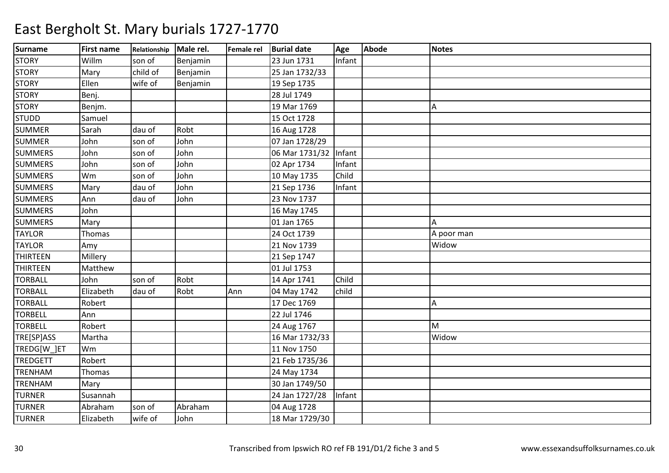| <b>Surname</b>  | <b>First name</b> | Relationship | Male rel. | Female rel | <b>Burial date</b>    | Age    | Abode | <b>Notes</b> |
|-----------------|-------------------|--------------|-----------|------------|-----------------------|--------|-------|--------------|
| <b>STORY</b>    | Willm             | son of       | Benjamin  |            | 23 Jun 1731           | Infant |       |              |
| <b>STORY</b>    | Mary              | child of     | Benjamin  |            | 25 Jan 1732/33        |        |       |              |
| <b>STORY</b>    | Ellen             | wife of      | Benjamin  |            | 19 Sep 1735           |        |       |              |
| <b>STORY</b>    | Benj.             |              |           |            | 28 Jul 1749           |        |       |              |
| <b>STORY</b>    | Benjm.            |              |           |            | 19 Mar 1769           |        |       | IA.          |
| <b>STUDD</b>    | Samuel            |              |           |            | 15 Oct 1728           |        |       |              |
| <b>SUMMER</b>   | Sarah             | dau of       | Robt      |            | 16 Aug 1728           |        |       |              |
| <b>SUMMER</b>   | John              | son of       | John      |            | 07 Jan 1728/29        |        |       |              |
| <b>SUMMERS</b>  | John              | son of       | John      |            | 06 Mar 1731/32 Infant |        |       |              |
| <b>SUMMERS</b>  | John              | son of       | John      |            | 02 Apr 1734           | Infant |       |              |
| <b>SUMMERS</b>  | Wm                | son of       | John      |            | 10 May 1735           | Child  |       |              |
| <b>SUMMERS</b>  | Mary              | dau of       | John      |            | 21 Sep 1736           | Infant |       |              |
| <b>SUMMERS</b>  | Ann               | dau of       | John      |            | 23 Nov 1737           |        |       |              |
| <b>SUMMERS</b>  | John              |              |           |            | 16 May 1745           |        |       |              |
| <b>SUMMERS</b>  | Mary              |              |           |            | 01 Jan 1765           |        |       | A            |
| <b>TAYLOR</b>   | Thomas            |              |           |            | 24 Oct 1739           |        |       | A poor man   |
| <b>TAYLOR</b>   | Amy               |              |           |            | 21 Nov 1739           |        |       | Widow        |
| <b>THIRTEEN</b> | Millery           |              |           |            | 21 Sep 1747           |        |       |              |
| <b>THIRTEEN</b> | Matthew           |              |           |            | 01 Jul 1753           |        |       |              |
| <b>TORBALL</b>  | John              | son of       | Robt      |            | 14 Apr 1741           | Child  |       |              |
| <b>TORBALL</b>  | Elizabeth         | dau of       | Robt      | Ann        | 04 May 1742           | child  |       |              |
| <b>TORBALL</b>  | Robert            |              |           |            | 17 Dec 1769           |        |       | A            |
| <b>TORBELL</b>  | Ann               |              |           |            | 22 Jul 1746           |        |       |              |
| <b>TORBELL</b>  | Robert            |              |           |            | 24 Aug 1767           |        |       | M            |
| TRE[SP]ASS      | Martha            |              |           |            | 16 Mar 1732/33        |        |       | Widow        |
| TREDG[W ]ET     | Wm                |              |           |            | 11 Nov 1750           |        |       |              |
| <b>TREDGETT</b> | Robert            |              |           |            | 21 Feb 1735/36        |        |       |              |
| <b>TRENHAM</b>  | Thomas            |              |           |            | 24 May 1734           |        |       |              |
| <b>TRENHAM</b>  | Mary              |              |           |            | 30 Jan 1749/50        |        |       |              |
| <b>TURNER</b>   | Susannah          |              |           |            | 24 Jan 1727/28        | Infant |       |              |
| <b>TURNER</b>   | Abraham           | son of       | Abraham   |            | 04 Aug 1728           |        |       |              |
| <b>TURNER</b>   | Elizabeth         | wife of      | John      |            | 18 Mar 1729/30        |        |       |              |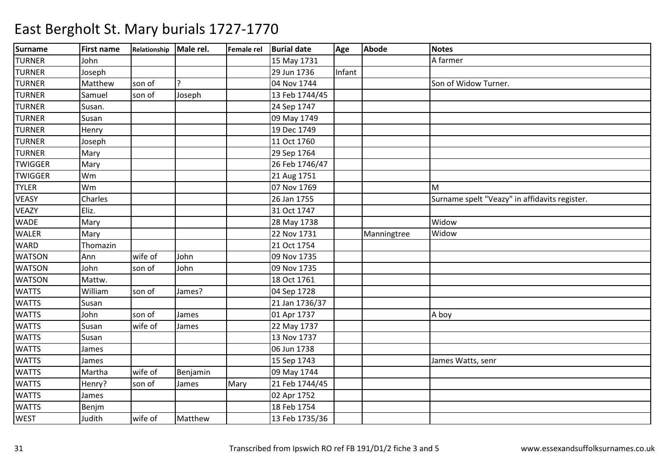| <b>Surname</b> | <b>First name</b> | Relationship Male rel. |          |      | Female rel Burial date | Age    | <b>Abode</b> | <b>Notes</b>                                  |
|----------------|-------------------|------------------------|----------|------|------------------------|--------|--------------|-----------------------------------------------|
| <b>TURNER</b>  | John              |                        |          |      | 15 May 1731            |        |              | A farmer                                      |
| <b>TURNER</b>  | Joseph            |                        |          |      | 29 Jun 1736            | Infant |              |                                               |
| <b>TURNER</b>  | Matthew           | son of                 |          |      | 04 Nov 1744            |        |              | Son of Widow Turner.                          |
| <b>TURNER</b>  | Samuel            | son of                 | Joseph   |      | 13 Feb 1744/45         |        |              |                                               |
| <b>TURNER</b>  | Susan.            |                        |          |      | 24 Sep 1747            |        |              |                                               |
| <b>TURNER</b>  | Susan             |                        |          |      | 09 May 1749            |        |              |                                               |
| <b>TURNER</b>  | Henry             |                        |          |      | 19 Dec 1749            |        |              |                                               |
| <b>TURNER</b>  | Joseph            |                        |          |      | 11 Oct 1760            |        |              |                                               |
| <b>TURNER</b>  | Mary              |                        |          |      | 29 Sep 1764            |        |              |                                               |
| <b>TWIGGER</b> | Mary              |                        |          |      | 26 Feb 1746/47         |        |              |                                               |
| <b>TWIGGER</b> | Wm                |                        |          |      | 21 Aug 1751            |        |              |                                               |
| <b>TYLER</b>   | Wm                |                        |          |      | 07 Nov 1769            |        |              | M                                             |
| <b>VEASY</b>   | Charles           |                        |          |      | 26 Jan 1755            |        |              | Surname spelt "Veazy" in affidavits register. |
| <b>VEAZY</b>   | Eliz.             |                        |          |      | 31 Oct 1747            |        |              |                                               |
| <b>WADE</b>    | Mary              |                        |          |      | 28 May 1738            |        |              | Widow                                         |
| <b>WALER</b>   | Mary              |                        |          |      | 22 Nov 1731            |        | Manningtree  | Widow                                         |
| <b>WARD</b>    | Thomazin          |                        |          |      | 21 Oct 1754            |        |              |                                               |
| <b>WATSON</b>  | Ann               | wife of                | John     |      | 09 Nov 1735            |        |              |                                               |
| <b>WATSON</b>  | John              | son of                 | John     |      | 09 Nov 1735            |        |              |                                               |
| <b>WATSON</b>  | Mattw.            |                        |          |      | 18 Oct 1761            |        |              |                                               |
| <b>WATTS</b>   | William           | son of                 | James?   |      | 04 Sep 1728            |        |              |                                               |
| <b>WATTS</b>   | Susan             |                        |          |      | 21 Jan 1736/37         |        |              |                                               |
| <b>WATTS</b>   | John              | son of                 | James    |      | 01 Apr 1737            |        |              | A boy                                         |
| <b>WATTS</b>   | Susan             | wife of                | James    |      | 22 May 1737            |        |              |                                               |
| <b>WATTS</b>   | Susan             |                        |          |      | 13 Nov 1737            |        |              |                                               |
| <b>WATTS</b>   | James             |                        |          |      | 06 Jun 1738            |        |              |                                               |
| <b>WATTS</b>   | James             |                        |          |      | 15 Sep 1743            |        |              | James Watts, senr                             |
| <b>WATTS</b>   | Martha            | wife of                | Benjamin |      | 09 May 1744            |        |              |                                               |
| <b>WATTS</b>   | Henry?            | son of                 | James    | Mary | 21 Feb 1744/45         |        |              |                                               |
| <b>WATTS</b>   | James             |                        |          |      | 02 Apr 1752            |        |              |                                               |
| <b>WATTS</b>   | Benjm             |                        |          |      | 18 Feb 1754            |        |              |                                               |
| <b>WEST</b>    | Judith            | wife of                | Matthew  |      | 13 Feb 1735/36         |        |              |                                               |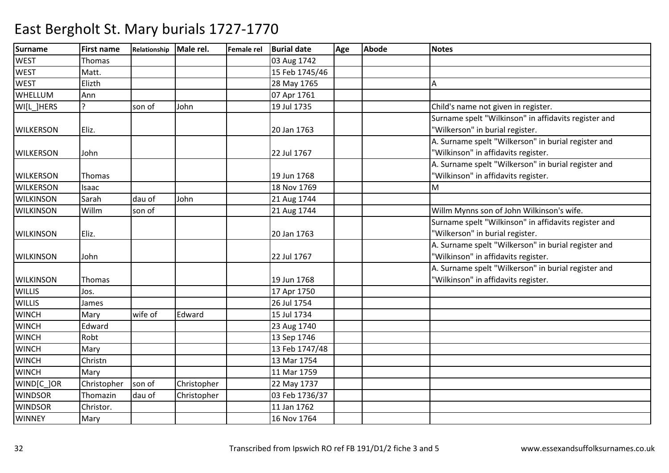| <b>Surname</b>   | <b>First name</b> | Relationship | Male rel.   | <b>Female rel</b> | <b>Burial date</b> | Age | Abode | <b>Notes</b>                                         |
|------------------|-------------------|--------------|-------------|-------------------|--------------------|-----|-------|------------------------------------------------------|
| <b>WEST</b>      | Thomas            |              |             |                   | 03 Aug 1742        |     |       |                                                      |
| <b>WEST</b>      | Matt.             |              |             |                   | 15 Feb 1745/46     |     |       |                                                      |
| <b>WEST</b>      | Elizth            |              |             |                   | 28 May 1765        |     |       | А                                                    |
| <b>WHELLUM</b>   | Ann               |              |             |                   | 07 Apr 1761        |     |       |                                                      |
| WI[L_]HERS       | 7                 | son of       | John        |                   | 19 Jul 1735        |     |       | Child's name not given in register.                  |
|                  |                   |              |             |                   |                    |     |       | Surname spelt "Wilkinson" in affidavits register and |
| <b>WILKERSON</b> | Eliz.             |              |             |                   | 20 Jan 1763        |     |       | "Wilkerson" in burial register.                      |
|                  |                   |              |             |                   |                    |     |       | A. Surname spelt "Wilkerson" in burial register and  |
| <b>WILKERSON</b> | John              |              |             |                   | 22 Jul 1767        |     |       | "Wilkinson" in affidavits register.                  |
|                  |                   |              |             |                   |                    |     |       | A. Surname spelt "Wilkerson" in burial register and  |
| <b>WILKERSON</b> | Thomas            |              |             |                   | 19 Jun 1768        |     |       | "Wilkinson" in affidavits register.                  |
| <b>WILKERSON</b> | Isaac             |              |             |                   | 18 Nov 1769        |     |       | M                                                    |
| <b>WILKINSON</b> | Sarah             | dau of       | John        |                   | 21 Aug 1744        |     |       |                                                      |
| <b>WILKINSON</b> | Willm             | son of       |             |                   | 21 Aug 1744        |     |       | Willm Mynns son of John Wilkinson's wife.            |
|                  |                   |              |             |                   |                    |     |       | Surname spelt "Wilkinson" in affidavits register and |
| <b>WILKINSON</b> | Eliz.             |              |             |                   | 20 Jan 1763        |     |       | "Wilkerson" in burial register.                      |
|                  |                   |              |             |                   |                    |     |       | A. Surname spelt "Wilkerson" in burial register and  |
| <b>WILKINSON</b> | John              |              |             |                   | 22 Jul 1767        |     |       | "Wilkinson" in affidavits register.                  |
|                  |                   |              |             |                   |                    |     |       | A. Surname spelt "Wilkerson" in burial register and  |
| <b>WILKINSON</b> | Thomas            |              |             |                   | 19 Jun 1768        |     |       | 'Wilkinson" in affidavits register.                  |
| <b>WILLIS</b>    | Jos.              |              |             |                   | 17 Apr 1750        |     |       |                                                      |
| <b>WILLIS</b>    | James             |              |             |                   | 26 Jul 1754        |     |       |                                                      |
| <b>WINCH</b>     | Mary              | wife of      | Edward      |                   | 15 Jul 1734        |     |       |                                                      |
| <b>WINCH</b>     | Edward            |              |             |                   | 23 Aug 1740        |     |       |                                                      |
| <b>WINCH</b>     | Robt              |              |             |                   | 13 Sep 1746        |     |       |                                                      |
| <b>WINCH</b>     | Mary              |              |             |                   | 13 Feb 1747/48     |     |       |                                                      |
| <b>WINCH</b>     | Christn           |              |             |                   | 13 Mar 1754        |     |       |                                                      |
| <b>WINCH</b>     | Mary              |              |             |                   | 11 Mar 1759        |     |       |                                                      |
| WIND[C_]OR       | Christopher       | son of       | Christopher |                   | 22 May 1737        |     |       |                                                      |
| <b>WINDSOR</b>   | Thomazin          | dau of       | Christopher |                   | 03 Feb 1736/37     |     |       |                                                      |
| <b>WINDSOR</b>   | Christor.         |              |             |                   | 11 Jan 1762        |     |       |                                                      |
| <b>WINNEY</b>    | Mary              |              |             |                   | 16 Nov 1764        |     |       |                                                      |